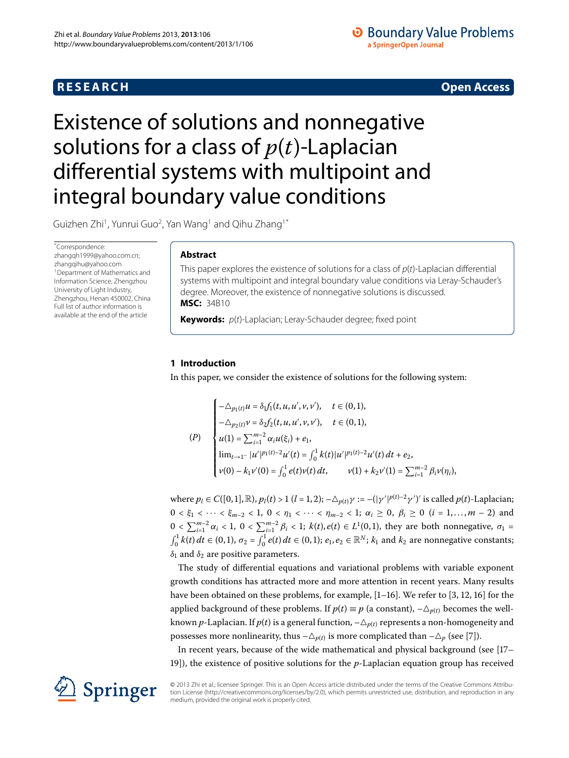## **RESEARCH CONSTRUCTER ACCESS**

## **O** Boundary Value Problems a SpringerOpen Journal

# <span id="page-0-0"></span>Existence of solutions and nonnegative solutions for a class of *p*(*t*)-Laplacian differential systems with multipoint and integral boundary value conditions

Guizhen Zhi $^1$  $^1$ , Yunrui Guo $^2$  $^2$ , Yan Wang $^1$  and Qihu Zhang $^1{}^*$  $^1{}^*$ 

\* Correspondence: [zhangqh1999@yahoo.com.cn](mailto:zhangqh1999@yahoo.com.cn); [zhangqihu@yahoo.com](mailto:zhangqihu@yahoo.com) <sup>1</sup> Department of Mathematics and Information Science, Zhengzhou University of Light Industry, Zhengzhou, Henan 450002, China Full list of author information is available at the end of the article

## **Abstract**

This paper explores the existence of solutions for a class of  $p(t)$ -Laplacian differential systems with multipoint and integral boundary value conditions via Leray-Schauder's degree. Moreover, the existence of nonnegative solutions is discussed. **MSC:** 34B10

**Keywords:**  $p(t)$ -Laplacian; Leray-Schauder degree; fixed point

## **1 Introduction**

In this paper, we consider the existence of solutions for the following system:

$$
(P)
$$
\n
$$
\begin{cases}\n-\Delta_{p_1(t)}u = \delta_1 f_1(t, u, u', v, v'), & t \in (0, 1), \\
-\Delta_{p_2(t)}v = \delta_2 f_2(t, u, u', v, v'), & t \in (0, 1), \\
u(1) = \sum_{i=1}^{m-2} \alpha_i u(\xi_i) + e_1, \\
\lim_{t \to 1^-} |u'|^{p_1(t)-2} u'(t) = \int_0^1 k(t) |u'|^{p_1(t)-2} u'(t) dt + e_2, \\
v(0) - k_1 v'(0) = \int_0^1 e(t) v(t) dt, & v(1) + k_2 v'(1) = \sum_{i=1}^{m-2} \beta_i v(\eta_i),\n\end{cases}
$$

 $w$ here  $p_l \in C([0, 1], \mathbb{R})$ ,  $p_l(t) > 1$   $(l = 1, 2)$ ;  $-\triangle_{p(t)} \gamma := -(|\gamma'|^{p(t)-2} \gamma')'$  is called  $p(t)$ -Laplacian;  $0 < \xi_1 < \cdots < \xi_{m-2} < 1$ ,  $0 < \eta_1 < \cdots < \eta_{m-2} < 1$ ;  $\alpha_i \ge 0$ ,  $\beta_i \ge 0$   $(i = 1, ..., m - 2)$  and  $0 < \sum_{i=1}^{m-2} \alpha_i < 1$ ,  $0 < \sum_{i=1}^{m-2} \beta_i < 1$ ;  $k(t), e(t) \in L^1(0, 1)$ , they are both nonnegative,  $\sigma_1 =$  $\int_0^1 k(t) \, dt \in (0,1), \, \sigma_2 = \int_0^1 e(t) \, dt \in (0,1); \, e_1, e_2 \in \mathbb{R}^N; \, k_1 \text{ and } k_2 \text{ are nonnegative constants};$  $\delta_1$  and  $\delta_2$  are positive parameters.

The study of differential equations and variational problems with variable exponent growth conditions has attracted more and more attention in recent years. Many results have been obtained on these problems[,](#page-21-5) for example,  $[1-16]$  $[1-16]$ . We refer to  $[3, 12, 16]$  $[3, 12, 16]$  for the applied background of these problems. If  $p(t) \equiv p$  (a constant),  $-\triangle_{p(t)}$  becomes the wellknown  $p$ -Laplacian. If  $p(t)$  is a general function,  $-\triangle_{p(t)}$  represents a non-homogeneity and possesses more nonlinearity, thus  $-\triangle_{p(t)}$  is more complicated than  $-\triangle_{p}$  (see [7[\]](#page-21-6)).

In recent years, because of the wide mathematical and physical background (see [\[](#page-21-7)17-]), the existence of positive solutions for the *p*-Laplacian equation group has received

© 2013 Zhi et al.; licensee Springer. This is an Open Access article distributed under the terms of the Creative Commons Attribution License ([http://creativecommons.org/licenses/by/2.0\)](http://creativecommons.org/licenses/by/2.0), which permits unrestricted use, distribution, and reproduction in any medium, provided the original work is properly cited.

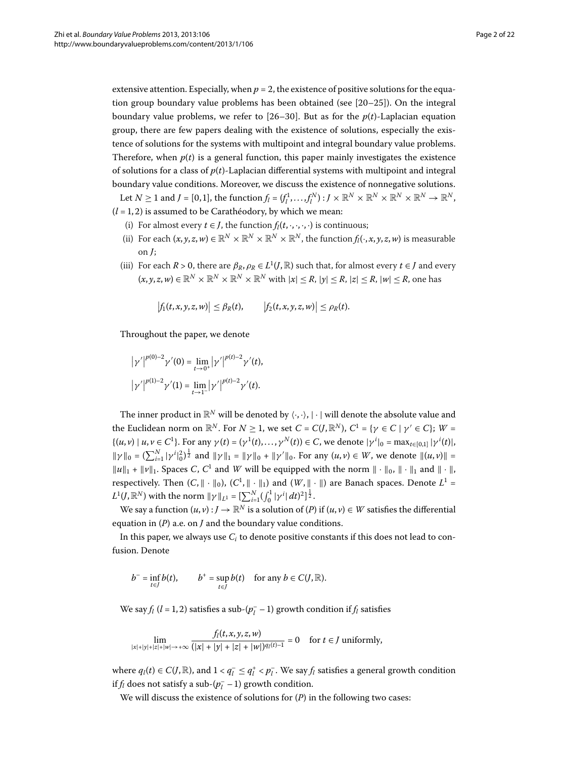extensive attention. Especially, when  $p = 2$ , the existence of positive solutions for the equation group boundary value problems has been obtained (see  $[20-25]$  $[20-25]$ ). On the integral boundary value problems, we refer to  $[26-30]$  $[26-30]$ . But as for the  $p(t)$ -Laplacian equation group, there are few papers dealing with the existence of solutions, especially the existence of solutions for the systems with multipoint and integral boundary value problems. Therefore, when  $p(t)$  is a general function, this paper mainly investigates the existence of solutions for a class of  $p(t)$ -Laplacian differential systems with multipoint and integral boundary value conditions. Moreover, we discuss the existence of nonnegative solutions.

Let  $N \ge 1$  and  $J = [0, 1]$ , the function  $f_l = (f_l^1, \ldots, f_l^N) : J \times \mathbb{R}^N \times \mathbb{R}^N \times \mathbb{R}^N \times \mathbb{R}^N \to \mathbb{R}^N$ ,  $(l = 1, 2)$  is assumed to be Carathéodory, by which we mean:

- (i) For almost every  $t \in J$ , the function  $f_l(t,\cdot,\cdot,\cdot,\cdot)$  is continuous;
- (ii) For each  $(x, y, z, w) \in \mathbb{R}^N \times \mathbb{R}^N \times \mathbb{R}^N \times \mathbb{R}^N$ , the function  $f_i(\cdot, x, y, z, w)$  is measurable on *J*;
- (iii) For each  $R > 0$ , there are  $\beta_R$ ,  $\rho_R \in L^1(J, \mathbb{R})$  such that, for almost every  $t \in J$  and every  $(x, y, z, w) \in \mathbb{R}^N \times \mathbb{R}^N \times \mathbb{R}^N \times \mathbb{R}^N$  with  $|x| \leq R$ ,  $|y| \leq R$ ,  $|z| \leq R$ ,  $|w| \leq R$ , one has

$$
\big|f_1(t,x,y,z,w)\big|\leq \beta_R(t),\qquad \big|f_2(t,x,y,z,w)\big|\leq \rho_R(t).
$$

Throughout the paper, we denote

$$
|\gamma'|^{p(0)-2}\gamma'(0) = \lim_{t \to 0^+} |\gamma'|^{p(t)-2}\gamma'(t),
$$
  

$$
|\gamma'|^{p(1)-2}\gamma'(1) = \lim_{t \to 1^-} |\gamma'|^{p(t)-2}\gamma'(t).
$$

The inner product in  $\mathbb{R}^N$  will be denoted by  $\langle\cdot,\cdot\rangle,|\cdot|$  will denote the absolute value and the Euclidean norm on  $\mathbb{R}^N$ . For  $N \geq 1$ , we set  $C = C(J, \mathbb{R}^N)$ ,  $C^1 = \{ \gamma \in C \mid \gamma' \in C \}$ ;  $W =$  $\{(u, v) | u, v \in C^1\}$ . For any  $\gamma(t) = (\gamma^1(t), ..., \gamma^N(t)) \in C$ , we denote  $|\gamma^i|_0 = \max_{t \in [0,1]} |\gamma^i(t)|$ ,  $\|\gamma\|_0 = (\sum_{i=1}^N |\gamma^i|_0^2)^{\frac{1}{2}}$  and  $\|\gamma\|_1 = \|\gamma\|_0 + \|\gamma'\|_0$ . For any  $(u, v) \in W$ , we denote  $\|(u, v)\| =$  $||u||_1 + ||v||_1$ . Spaces *C*, *C*<sup>1</sup> and *W* will be equipped with the norm  $|| \cdot ||_0$ ,  $|| \cdot ||_1$  and  $|| \cdot ||$ , respectively. Then  $(C, \|\cdot\|_0)$ ,  $(C^1, \|\cdot\|_1)$  and  $(W, \|\cdot\|)$  are Banach spaces. Denote  $L^1$  =  $L^1(J,\mathbb{R}^N)$  with the norm  $\|\gamma\|_{L^1} = \left[\sum_{i=1}^N (\int_0^1 |\gamma^i| dt)^2\right]^{\frac{1}{2}}$ .

We say a function  $(u, v) : J \to \mathbb{R}^N$  is a solution of  $(P)$  if  $(u, v) \in W$  satisfies the differential equation in (*P*) a.e. on *J* and the boundary value conditions.

In this paper, we always use *Ci* to denote positive constants if this does not lead to confusion. Denote

$$
b^- = \inf_{t \in J} b(t), \qquad b^+ = \sup_{t \in J} b(t) \quad \text{for any } b \in C(J, \mathbb{R}).
$$

We say  $f_l$  ( $l = 1, 2$ ) satisfies a sub-( $p_l^-$  – 1) growth condition if  $f_l$  satisfies

$$
\lim_{|x|+|y|+|z|+|w|\to+\infty} \frac{f_l(t,x,y,z,w)}{(|x|+|y|+|z|+|w|)^{q_l(t)-1}} = 0 \quad \text{ for } t \in J \text{ uniformly,}
$$

where  $q_l(t) \in C(J, \mathbb{R})$ , and  $1 < q_l^- \leq q_l^+ < p_l^-$ . We say  $f_l$  satisfies a general growth condition if  $f_l$  does not satisfy a sub- $(p_l^- - 1)$  growth condition.

We will discuss the existence of solutions for (*P*) in the following two cases: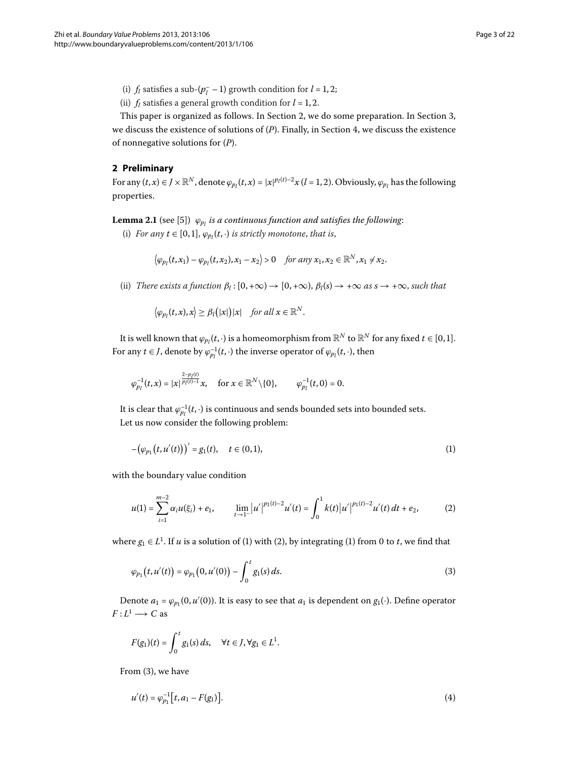- (i)  $f_l$  satisfies a sub- $(p_l^- 1)$  growth condition for  $l = 1, 2;$
- (ii)  $f_l$  satisfies a general growth condition for  $l = 1, 2$ .

<span id="page-2-5"></span><span id="page-2-0"></span>This paper is organized as follows. In Section 2[,](#page-9-0) we do some preparation. In Section 3, we discuss the existence of solutions of  $(P)$ . Finally[,](#page-16-0) in Section 4, we discuss the existence of nonnegative solutions for (*P*).

## **2 Preliminary**

For any  $(t, x) \in J \times \mathbb{R}^N$ , denote  $\varphi_{p_l}(t, x) = |x|^{p_l(t)-2} x$   $(l = 1, 2)$ . Obviously,  $\varphi_{p_l}$  has the following properties.

**Lemma 2.1** (see [\[](#page-21-13)5])  $\varphi_{p_l}$  *is a continuous function and satisfies the following*:

(i) *For any*  $t \in [0, 1]$ ,  $\varphi_{p_l}(t, \cdot)$  *is strictly monotone, that is,* 

$$
\left\langle \varphi_{p_l}(t,x_1)-\varphi_{p_l}(t,x_2),x_1-x_2\right\rangle>0 \quad \textit{for any } x_1,x_2\in\mathbb{R}^N, x_1\neq x_2.
$$

(ii) *There exists a function*  $\beta_l$ :  $[0, +\infty) \to [0, +\infty)$ ,  $\beta_l(s) \to +\infty$  *as*  $s \to +\infty$ , *such that* 

<span id="page-2-1"></span>
$$
\big\langle \varphi_{p_l}(t,x),x\big\rangle \geq \beta_l\big(|x|\big)|x| \quad \text{for all } x \in \mathbb{R}^N.
$$

It is well known that  $\varphi_{p_l}(t,\cdot)$  is a homeomorphism from  $\mathbb{R}^N$  to  $\mathbb{R}^N$  for any fixed  $t\in [0,1].$ For any  $t \in J$ , denote by  $\varphi_{p_l}^{-1}(t, \cdot)$  the inverse operator of  $\varphi_{p_l}(t, \cdot)$ , then

$$
\varphi_{p_l}^{-1}(t,x)=|x|^{\frac{2-p_l(t)}{p_l(t)-1}}x,\quad\text{for }x\in\mathbb{R}^N\backslash\{0\},\qquad\varphi_{p_l}^{-1}(t,0)=0.
$$

It is clear that  $\varphi_{p_l}^{-1}(t,\cdot)$  is continuous and sends bounded sets into bounded sets. Let us now consider the following problem:

<span id="page-2-2"></span>
$$
-(\varphi_{p_1}(t, u'(t)))' = g_1(t), \quad t \in (0, 1), \tag{1}
$$

with the boundary value condition

<span id="page-2-3"></span>
$$
u(1) = \sum_{i=1}^{m-2} \alpha_i u(\xi_i) + e_1, \qquad \lim_{t \to 1^-} |u'|^{p_1(t)-2} u'(t) = \int_0^1 k(t) |u'|^{p_1(t)-2} u'(t) dt + e_2,
$$
 (2)

where  $g_1 \in L^1$ . If *u* is a solution of [\(](#page-2-2)1[\)](#page-2-1) with (2), by integrating (1) from 0 to *t*, we find that

$$
\varphi_{p_1}(t, u'(t)) = \varphi_{p_1}(0, u'(0)) - \int_0^t g_1(s) \, ds. \tag{3}
$$

Denote  $a_1 = \varphi_{p_1}(0, u'(0))$ . It is easy to see that  $a_1$  is dependent on  $g_1(\cdot)$ . Define operator  $F: L^1 \longrightarrow C$  as

<span id="page-2-4"></span>
$$
F(g_1)(t) = \int_0^t g_1(s) ds, \quad \forall t \in J, \forall g_1 \in L^1.
$$

From  $(3)$  $(3)$ , we have

$$
u'(t) = \varphi_{p_1}^{-1} \big[ t, a_1 - F(g_1) \big]. \tag{4}
$$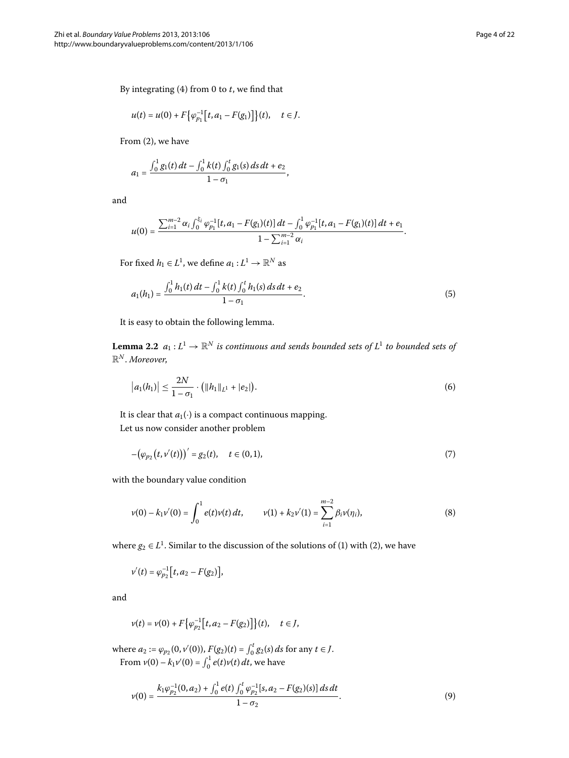By integrating  $(4)$  from 0 to  $t$ , we find that

$$
u(t) = u(0) + F\big\{\varphi_{p_1}^{-1}\big[t, a_1 - F(g_1)\big]\big\}(t), \quad t \in J.
$$

From (2[\)](#page-2-2), we have

$$
a_1 = \frac{\int_0^1 g_1(t) dt - \int_0^1 k(t) \int_0^t g_1(s) ds dt + e_2}{1 - \sigma_1},
$$

and

<span id="page-3-4"></span>
$$
u(0)=\frac{\sum_{i=1}^{m-2}\alpha_i\int_0^{\xi_i}\varphi_{p_1}^{-1}[t,a_1-F(g_1)(t)]\,dt-\int_0^1\varphi_{p_1}^{-1}[t,a_1-F(g_1)(t)]\,dt+e_1}{1-\sum_{i=1}^{m-2}\alpha_i}.
$$

<span id="page-3-3"></span>For fixed  $h_1 \in L^1$ , we define  $a_1 : L^1 \to \mathbb{R}^N$  as

$$
a_1(h_1) = \frac{\int_0^1 h_1(t) dt - \int_0^1 k(t) \int_0^t h_1(s) ds dt + e_2}{1 - \sigma_1}.
$$
\n(5)

It is easy to obtain the following lemma.

**Lemma 2.2**  $a_1: L^1 \to \mathbb{R}^N$  *is continuous and sends bounded sets of*  $L^1$  *to bounded sets of* R*<sup>N</sup>* . *Moreover*,

<span id="page-3-1"></span>
$$
|a_1(h_1)| \leq \frac{2N}{1-\sigma_1} \cdot (||h_1||_{L^1} + |e_2|). \tag{6}
$$

It is clear that  $a_1(\cdot)$  is a compact continuous mapping. Let us now consider another problem

<span id="page-3-2"></span>
$$
-(\varphi_{p_2}(t,\nu'(t)))' = g_2(t), \quad t \in (0,1), \tag{7}
$$

with the boundary value condition

$$
v(0) - k_1 v'(0) = \int_0^1 e(t)v(t) dt, \qquad v(1) + k_2 v'(1) = \sum_{i=1}^{m-2} \beta_i v(\eta_i), \tag{8}
$$

where  $g_2 \in L^1$ . Similar to the discussion of the solutions of [\(](#page-2-2)1) with (2), we have

$$
v'(t) = \varphi_{p_2}^{-1}\big[t, a_2 - F(g_2)\big],
$$

and

<span id="page-3-0"></span>
$$
v(t) = v(0) + F\big\{\varphi_{p_2}^{-1}\big[t, a_2 - F(g_2)\big]\big\}(t), \quad t \in J,
$$

where  $a_2 := \varphi_{p_2}(0, v'(0)), F(g_2)(t) = \int_0^t g_2(s) ds$  for any  $t \in J$ . From  $v(0) - k_1 v'(0) = \int_0^1 e(t)v(t) dt$ , we have

$$
v(0) = \frac{k_1 \varphi_{p_2}^{-1}(0, a_2) + \int_0^1 e(t) \int_0^t \varphi_{p_2}^{-1}[s, a_2 - F(g_2)(s)] ds dt}{1 - \sigma_2}.
$$
\n(9)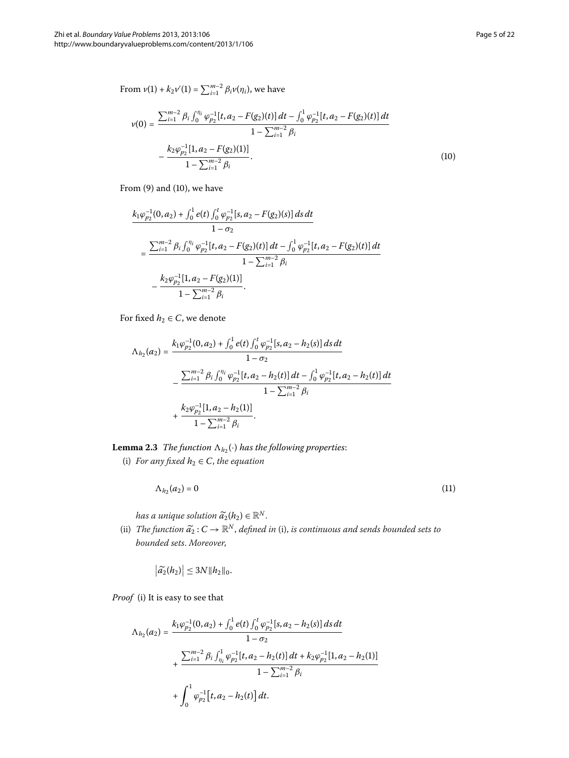<span id="page-4-0"></span>
$$
\nu(0) = \frac{\sum_{i=1}^{m-2} \beta_i \int_0^{\eta_i} \varphi_{p_2}^{-1}[t, a_2 - F(g_2)(t)] dt - \int_0^1 \varphi_{p_2}^{-1}[t, a_2 - F(g_2)(t)] dt}{1 - \sum_{i=1}^{m-2} \beta_i} - \frac{k_2 \varphi_{p_2}^{-1}[1, a_2 - F(g_2)(1)]}{1 - \sum_{i=1}^{m-2} \beta_i}.
$$
\n(10)

From  $(9)$  $(9)$  and  $(10)$ , we have

$$
\frac{k_1 \varphi_{p_2}^{-1}(0, a_2) + \int_0^1 e(t) \int_0^t \varphi_{p_2}^{-1}[s, a_2 - F(g_2)(s)] ds dt}{1 - \sigma_2}
$$
\n
$$
= \frac{\sum_{i=1}^{m-2} \beta_i \int_0^{\eta_i} \varphi_{p_2}^{-1}[t, a_2 - F(g_2)(t)] dt - \int_0^1 \varphi_{p_2}^{-1}[t, a_2 - F(g_2)(t)] dt}{1 - \sum_{i=1}^{m-2} \beta_i}
$$
\n
$$
- \frac{k_2 \varphi_{p_2}^{-1}[1, a_2 - F(g_2)(1)]}{1 - \sum_{i=1}^{m-2} \beta_i}.
$$

For fixed  $h_2 \in C$ , we denote

<span id="page-4-2"></span>
$$
\Lambda_{h_2}(a_2) = \frac{k_1 \varphi_{p_2}^{-1}(0, a_2) + \int_0^1 e(t) \int_0^t \varphi_{p_2}^{-1}[s, a_2 - h_2(s)] ds dt}{1 - \sigma_2} \n- \frac{\sum_{i=1}^{m-2} \beta_i \int_0^{\eta_i} \varphi_{p_2}^{-1}[t, a_2 - h_2(t)] dt - \int_0^1 \varphi_{p_2}^{-1}[t, a_2 - h_2(t)] dt}{1 - \sum_{i=1}^{m-2} \beta_i} \n+ \frac{k_2 \varphi_{p_2}^{-1}[1, a_2 - h_2(1)]}{1 - \sum_{i=1}^{m-2} \beta_i}.
$$

**Lemma 2.3** *The function*  $\Lambda_{h_2}(\cdot)$  *has the following properties:* 

(i) *For any fixed*  $h_2 \in C$ *, the equation* 

<span id="page-4-1"></span>
$$
\Lambda_{h_2}(a_2) = 0 \tag{11}
$$

*has a unique solution*  $\widetilde{a}_2(h_2) \in \mathbb{R}^N$ .

(ii) *The function*  $\widetilde{a_2}: C \to \mathbb{R}^N$ , *defined in* (i), *is continuous and sends bounded sets to bounded sets*. *Moreover*,

$$
\left|\widetilde{a_2}(h_2)\right|\leq 3N||h_2||_0.
$$

*Proof* (i) It is easy to see that

$$
\begin{aligned} \Lambda_{h_2}(a_2)&=\frac{k_1\varphi^{-1}_{p_2}(0,a_2)+\int_0^1e(t)\int_0^t\varphi^{-1}_{p_2}[s,a_2-h_2(s)]\,ds\,dt}{1-\sigma_2}\\ &+\frac{\sum_{i=1}^{m-2}\beta_i\int_{\eta_i}^1\varphi^{-1}_{p_2}[t,a_2-h_2(t)]\,dt+k_2\varphi^{-1}_{p_2}[1,a_2-h_2(1)]}{1-\sum_{i=1}^{m-2}\beta_i}\\ &+\int_0^1\varphi^{-1}_{p_2}\big[t,a_2-h_2(t)\big]\,dt. \end{aligned}
$$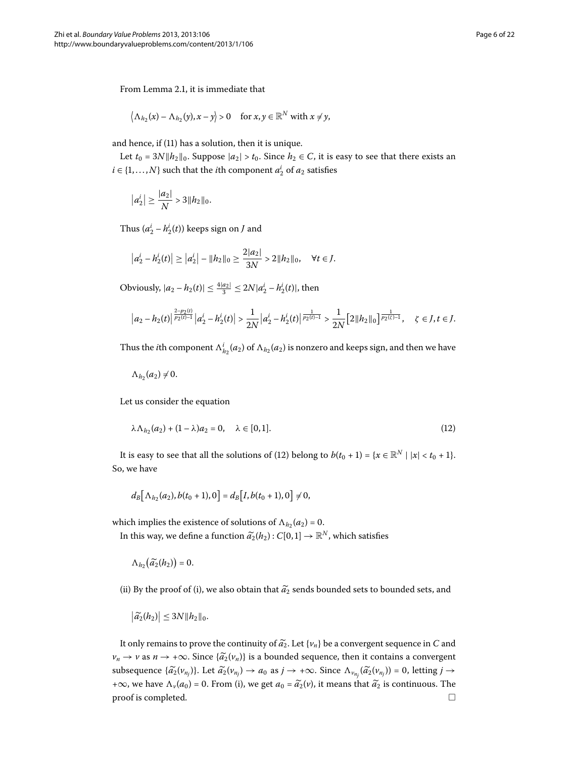From Lemma 2[.](#page-2-5)1, it is immediate that

$$
\langle \Lambda_{h_2}(x) - \Lambda_{h_2}(y), x - y \rangle > 0
$$
 for  $x, y \in \mathbb{R}^N$  with  $x \neq y$ ,

and hence, if  $(11)$  $(11)$  has a solution, then it is unique.

Let  $t_0 = 3N||h_2||_0$ . Suppose  $|a_2| > t_0$ . Since  $h_2 \in C$ , it is easy to see that there exists an  $i \in \{1, \ldots, N\}$  such that the *i*th component  $a_2^i$  of  $a_2$  satisfies

$$
|a_2^i| \ge \frac{|a_2|}{N} > 3||h_2||_0.
$$

Thus  $(a_2^i - h_2^i(t))$  keeps sign on *J* and

$$
\left|a_2^i - h_2^i(t)\right| \geq \left|a_2^i\right| - \|h_2\|_0 \geq \frac{2|a_2|}{3N} > 2\|h_2\|_0, \quad \forall t \in J.
$$

Obviously,  $|a_2 - h_2(t)| \le \frac{4|a_2|}{3} \le 2N|a_2^i - h_2^i(t)|$ , then

<span id="page-5-0"></span>
$$
\left|a_2-h_2(t)\right|^{\frac{2-p_2(t)}{p_2(t)-1}}\left|a_2^i-h_2^i(t)\right|>\frac{1}{2N}\left|a_2^i-h_2^i(t)\right|^{\frac{1}{p_2(t)-1}}>\frac{1}{2N}\Big[2\|h_2\|_0\Big]^{\frac{1}{p_2(t)-1}},\quad \zeta\in J,t\in J.
$$

Thus the *i*th component  $\Lambda^i_{h_2}(a_2)$  of  $\Lambda_{h_2}(a_2)$  is nonzero and keeps sign, and then we have

 $\Lambda_{h_2}(a_2) \neq 0$ .

Let us consider the equation

$$
\lambda \Lambda_{h_2}(a_2) + (1 - \lambda)a_2 = 0, \quad \lambda \in [0, 1].
$$
 (12)

It is easy to see that all the solutions of (12) belong to  $b(t_0 + 1) = \{x \in \mathbb{R}^N \mid |x| < t_0 + 1\}.$ So, we have

$$
d_B\big[\Lambda_{h_2}(a_2), b(t_0+1), 0\big] = d_B\big[I, b(t_0+1), 0\big] \neq 0,
$$

which implies the existence of solutions of  $\Lambda_{h_2}(a_2) = 0$ . In this way, we define a function  $\tilde{a}_2(h_2) : C[0,1] \to \mathbb{R}^N$ , which satisfies

 $\Lambda_{h_2}(\widetilde{a_2}(h_2)) = 0.$ 

(ii) By the proof of (i), we also obtain that  $\widetilde{a_2}$  sends bounded sets to bounded sets, and

$$
\left|\widetilde{a_2}(h_2)\right|\leq 3N||h_2||_0.
$$

It only remains to prove the continuity of  $\tilde{a_2}$ . Let  $\{v_n\}$  be a convergent sequence in *C* and  $v_n \to v$  as  $n \to +\infty$ . Since  $\{\tilde{a_2}(v_n)\}$  is a bounded sequence, then it contains a convergent subsequence  $\{\widetilde{a_2}(v_{n_j})\}$ . Let  $\widetilde{a_2}(v_{n_j}) \to a_0$  as  $j \to +\infty$ . Since  $\Lambda_{v_{n_j}}(\widetilde{a_2}(v_{n_j})) = 0$ , letting  $j \to$ +∞, we have  $\Lambda_{\nu}(a_0) = 0$ . From (i), we get  $a_0 = \tilde{a}_2(\nu)$ , it means that  $\tilde{a}_2$  is continuous. The proof is completed.  $\square$ proof is completed.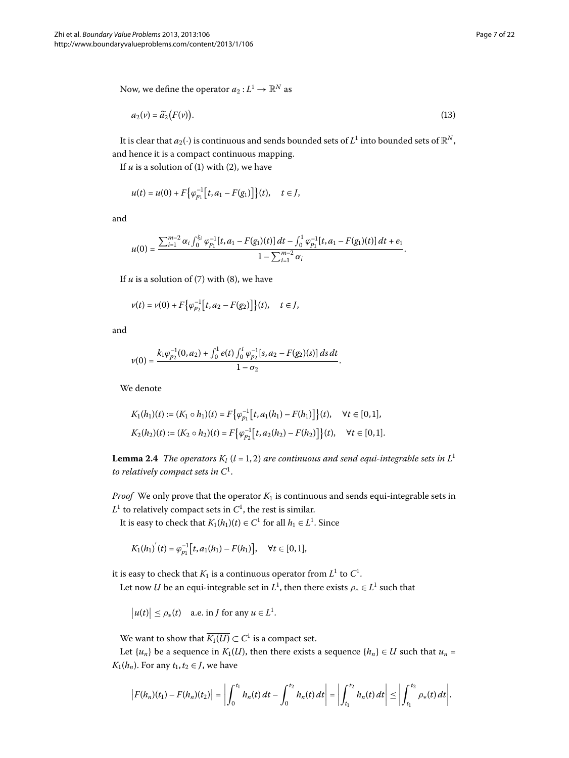Now, we define the operator  $a_2: L^1 \to \mathbb{R}^N$  as

<span id="page-6-1"></span>
$$
a_2(v) = \widetilde{a_2}(F(v)).
$$
\n(13)

It is clear that  $a_2(\cdot)$  is continuous and sends bounded sets of  $L^1$  into bounded sets of  $\mathbb{R}^N$ , and hence it is a compact continuous mapping.

If  $u$  is a solution of (1[\)](#page-2-2) with (2), we have

$$
u(t) = u(0) + F\big\{\varphi_{p_1}^{-1}\big[t, a_1 - F(g_1)\big]\big\}(t), \quad t \in J,
$$

and

$$
u(0)=\frac{\sum_{i=1}^{m-2}\alpha_i\int_0^{\xi_i}\varphi_{p_1}^{-1}[t,a_1-F(g_1)(t)]\,dt-\int_0^1\varphi_{p_1}^{-1}[t,a_1-F(g_1)(t)]\,dt+e_1}{1-\sum_{i=1}^{m-2}\alpha_i}.
$$

If  $u$  is a solution of  $(7)$  $(7)$  with  $(8)$ , we have

$$
v(t) = v(0) + F\big\{\varphi_{p_2}^{-1}\big[t, a_2 - F(g_2)\big]\big\}(t), \quad t \in J,
$$

and

$$
v(0)=\frac{k_1\varphi_{p_2}^{-1}(0,a_2)+\int_0^1e(t)\int_0^t\varphi_{p_2}^{-1}[s,a_2-F(g_2)(s)]\,ds\,dt}{1-\sigma_2}.
$$

<span id="page-6-0"></span>We denote

$$
K_1(h_1)(t) := (K_1 \circ h_1)(t) = F\big\{\varphi_{p_1}^{-1}\big[t, a_1(h_1) - F(h_1)\big]\big\}(t), \quad \forall t \in [0, 1],
$$
  

$$
K_2(h_2)(t) := (K_2 \circ h_2)(t) = F\big\{\varphi_{p_2}^{-1}\big[t, a_2(h_2) - F(h_2)\big]\big\}(t), \quad \forall t \in [0, 1].
$$

**Lemma 2.4** *The operators*  $K_l$  ( $l = 1, 2$ ) *are continuous and send equi-integrable sets in*  $L^1$ *to relatively compact sets in C* .

*Proof* We only prove that the operator  $K_1$  is continuous and sends equi-integrable sets in  $L^1$  to relatively compact sets in  $C^1$ , the rest is similar.

It is easy to check that  $K_1(h_1)(t) \in C^1$  for all  $h_1 \in L^1$ . Since

$$
K_1(h_1)'(t) = \varphi_{p_1}^{-1}[t, a_1(h_1) - F(h_1)], \quad \forall t \in [0, 1],
$$

it is easy to check that  $K_1$  is a continuous operator from  $L^1$  to  $C^1.$ 

Let now *U* be an equi-integrable set in  $L^1$ , then there exists  $\rho_* \in L^1$  such that

$$
|u(t)| \le \rho_*(t)
$$
 a.e. in *J* for any  $u \in L^1$ .

We want to show that  $\overline{K_1(U)} \subset C^1$  is a compact set.

Let  $\{u_n\}$  be a sequence in  $K_1(U)$ , then there exists a sequence  $\{h_n\} \in U$  such that  $u_n =$ *K*<sub>1</sub>( $h_n$ ). For any  $t_1, t_2 \in J$ , we have

$$
\left|F(h_n)(t_1)-F(h_n)(t_2)\right|=\left|\int_0^{t_1}h_n(t)\,dt-\int_0^{t_2}h_n(t)\,dt\right|=\left|\int_{t_1}^{t_2}h_n(t)\,dt\right|\leq\left|\int_{t_1}^{t_2}\rho_*(t)\,dt\right|.
$$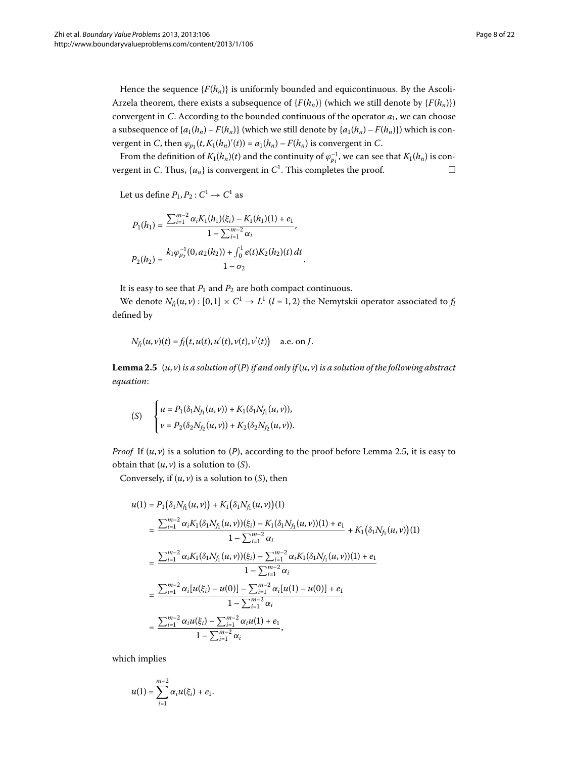Hence the sequence  ${F(h_n)}$  is uniformly bounded and equicontinuous. By the Ascoli-Arzela theorem, there exists a subsequence of  ${F(h_n)}$  (which we still denote by  ${F(h_n)}$ ) convergent in *C*. According to the bounded continuous of the operator *a*, we can choose a subsequence of  $\{a_1(h_n) - F(h_n)\}$  (which we still denote by  $\{a_1(h_n) - F(h_n)\}$ ) which is convergent in *C*, then  $\varphi_{p_1}(t, K_1(h_n)'(t)) = a_1(h_n) - F(h_n)$  is convergent in *C*.

From the definition of  $K_1(h_n)(t)$  and the continuity of  $\varphi_{p_1}^{-1}$ , we can see that  $K_1(h_n)$  is convergent in *C*. Thus,  $\{u_n\}$  is convergent in  $C^1$ . This completes the proof.  $\Box$ 

Let us define  $P_1, P_2 : C^1 \to C^1$  as

$$
P_1(h_1) = \frac{\sum_{i=1}^{m-2} \alpha_i K_1(h_1)(\xi_i) - K_1(h_1)(1) + e_1}{1 - \sum_{i=1}^{m-2} \alpha_i},
$$
  

$$
P_2(h_2) = \frac{k_1 \varphi_{p_2}^{-1}(0, a_2(h_2)) + \int_0^1 e(t) K_2(h_2)(t) dt}{1 - \sigma_2}.
$$

It is easy to see that  $P_1$  and  $P_2$  are both compact continuous.

<span id="page-7-0"></span>We denote  $N_{f_l}(u, v) : [0, 1] \times C^1 \to L^1$   $(l = 1, 2)$  the Nemytskii operator associated to  $f_l$ defined by

$$
N_{f_i}(u, v)(t) = f_i(t, u(t), u'(t), v(t), v'(t))
$$
 a.e. on *J*.

**Lemma 2.5**  $(u, v)$  *is a solution of*  $(P)$  *if and only if*  $(u, v)$  *is a solution of the following abstract equation*:

$$
(S) \quad \begin{cases} u = P_1(\delta_1 N_{f_1}(u,v)) + K_1(\delta_1 N_{f_1}(u,v)), \\ v = P_2(\delta_2 N_{f_2}(u,v)) + K_2(\delta_2 N_{f_2}(u,v)). \end{cases}
$$

*Proof* If  $(u, v)$  is a solution to  $(P)$ , according to the proof before Lemma 2.5, it is easy to obtain that  $(u, v)$  is a solution to  $(S)$ .

Conversely, if  $(u, v)$  is a solution to  $(S)$ , then

$$
u(1) = P_{1}(\delta_{1}N_{f_{1}}(u,v)) + K_{1}(\delta_{1}N_{f_{1}}(u,v))(1)
$$
\n
$$
= \frac{\sum_{i=1}^{m-2} \alpha_{i}K_{1}(\delta_{1}N_{f_{1}}(u,v))( \xi_{i}) - K_{1}(\delta_{1}N_{f_{1}}(u,v))(1) + e_{1}}{1 - \sum_{i=1}^{m-2} \alpha_{i}} + K_{1}(\delta_{1}N_{f_{1}}(u,v))(1)
$$
\n
$$
= \frac{\sum_{i=1}^{m-2} \alpha_{i}K_{1}(\delta_{1}N_{f_{1}}(u,v))( \xi_{i}) - \sum_{i=1}^{m-2} \alpha_{i}K_{1}(\delta_{1}N_{f_{1}}(u,v))(1) + e_{1}}{1 - \sum_{i=1}^{m-2} \alpha_{i}}
$$
\n
$$
= \frac{\sum_{i=1}^{m-2} \alpha_{i}[u(\xi_{i}) - u(0)] - \sum_{i=1}^{m-2} \alpha_{i}[u(1) - u(0)] + e_{1}}{1 - \sum_{i=1}^{m-2} \alpha_{i}}
$$
\n
$$
= \frac{\sum_{i=1}^{m-2} \alpha_{i}u(\xi_{i}) - \sum_{i=1}^{m-2} \alpha_{i}u(1) + e_{1}}{1 - \sum_{i=1}^{m-2} \alpha_{i}},
$$

which implies

$$
u(1) = \sum_{i=1}^{m-2} \alpha_i u(\xi_i) + e_1.
$$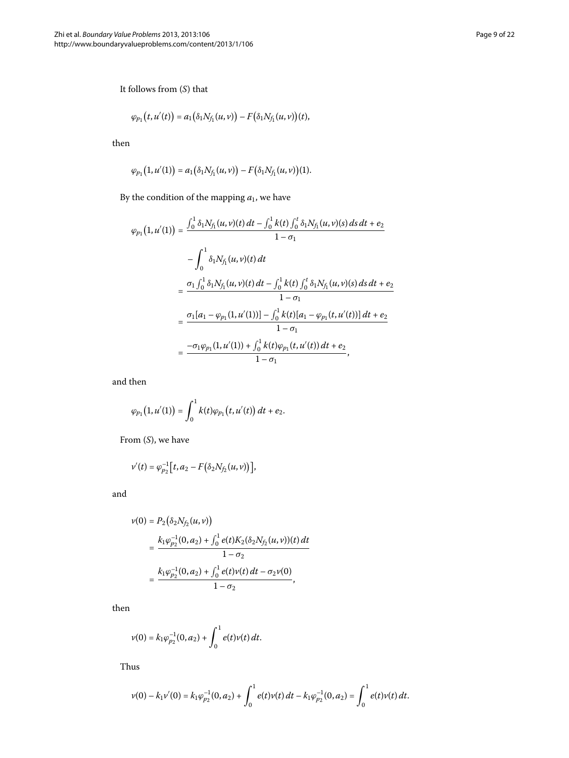It follows from (*S*) that

$$
\varphi_{p_1}(t, u'(t)) = a_1(\delta_1 N_{f_1}(u, v)) - F(\delta_1 N_{f_1}(u, v))(t),
$$

then

$$
\varphi_{p_1}(1, u'(1)) = a_1(\delta_1 N_{f_1}(u, v)) - F(\delta_1 N_{f_1}(u, v))(1).
$$

By the condition of the mapping  $a_1$ , we have

$$
\varphi_{p_1}\big(1, u'(1)\big) = \frac{\int_0^1 \delta_1 N_{f_1}(u, v)(t) dt - \int_0^1 k(t) \int_0^t \delta_1 N_{f_1}(u, v)(s) ds dt + e_2}{1 - \sigma_1}
$$

$$
- \int_0^1 \delta_1 N_{f_1}(u, v)(t) dt
$$

$$
= \frac{\sigma_1 \int_0^1 \delta_1 N_{f_1}(u, v)(t) dt - \int_0^1 k(t) \int_0^t \delta_1 N_{f_1}(u, v)(s) ds dt + e_2}{1 - \sigma_1}
$$

$$
= \frac{\sigma_1 [a_1 - \varphi_{p_1}(1, u'(1))] - \int_0^1 k(t) [a_1 - \varphi_{p_1}(t, u'(t))] dt + e_2}{1 - \sigma_1}
$$

$$
= \frac{-\sigma_1 \varphi_{p_1}(1, u'(1)) + \int_0^1 k(t) \varphi_{p_1}(t, u'(t)) dt + e_2}{1 - \sigma_1},
$$

and then

$$
\varphi_{p_1}(1, u'(1)) = \int_0^1 k(t)\varphi_{p_1}(t, u'(t)) dt + e_2.
$$

From (*S*), we have

$$
v'(t) = \varphi_{p_2}^{-1}\big[t, a_2 - F(\delta_2 N_{f_2}(u, v))\big],
$$

and

$$
\nu(0) = P_2(\delta_2 N_{f_2}(u, v))
$$
  
= 
$$
\frac{k_1 \varphi_{p_2}^{-1}(0, a_2) + \int_0^1 e(t) K_2(\delta_2 N_{f_2}(u, v))(t) dt}{1 - \sigma_2}
$$
  
= 
$$
\frac{k_1 \varphi_{p_2}^{-1}(0, a_2) + \int_0^1 e(t) \nu(t) dt - \sigma_2 \nu(0)}{1 - \sigma_2},
$$

then

$$
v(0) = k_1 \varphi_{p_2}^{-1}(0, a_2) + \int_0^1 e(t) v(t) dt.
$$

Thus

$$
v(0) - k_1 v'(0) = k_1 \varphi_{p_2}^{-1}(0, a_2) + \int_0^1 e(t) v(t) dt - k_1 \varphi_{p_2}^{-1}(0, a_2) = \int_0^1 e(t) v(t) dt.
$$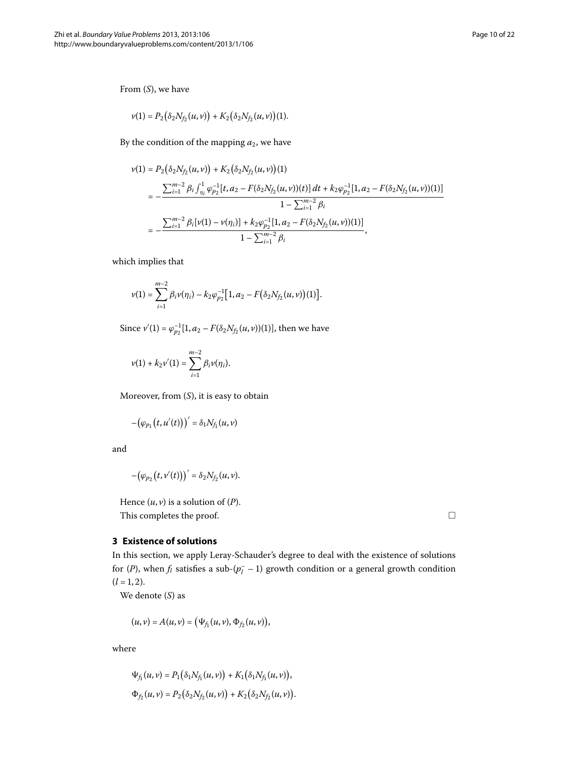From (*S*), we have

$$
v(1) = P_2(\delta_2 N_{f_2}(u,v)) + K_2(\delta_2 N_{f_2}(u,v))(1).
$$

By the condition of the mapping  $a_2$ , we have

$$
\nu(1) = P_2(\delta_2 N_{f_2}(u, v)) + K_2(\delta_2 N_{f_2}(u, v))(1)
$$
  
= 
$$
-\frac{\sum_{i=1}^{m-2} \beta_i \int_{\eta_i}^1 \varphi_{p_2}^{-1}[t, a_2 - F(\delta_2 N_{f_2}(u, v))(t)] dt + k_2 \varphi_{p_2}^{-1}[1, a_2 - F(\delta_2 N_{f_2}(u, v))(1)]}{1 - \sum_{i=1}^{m-2} \beta_i}
$$
  
= 
$$
-\frac{\sum_{i=1}^{m-2} \beta_i[v(1) - v(\eta_i)] + k_2 \varphi_{p_2}^{-1}[1, a_2 - F(\delta_2 N_{f_2}(u, v))(1)]}{1 - \sum_{i=1}^{m-2} \beta_i},
$$

which implies that

$$
v(1) = \sum_{i=1}^{m-2} \beta_i v(\eta_i) - k_2 \varphi_{p_2}^{-1} [1, a_2 - F(\delta_2 N_{f_2}(u, v))1)].
$$

Since  $v'(1) = \varphi_{p_2}^{-1}[1, a_2 - F(\delta_2 N_{f_2}(u, v))(1)]$ , then we have

$$
v(1) + k_2 v'(1) = \sum_{i=1}^{m-2} \beta_i v(\eta_i).
$$

Moreover, from (*S*), it is easy to obtain

$$
-(\varphi_{p_1}\bigl(t,u'(t)\bigr)\bigr)'=\delta_1N_{f_1}(u,v)
$$

<span id="page-9-0"></span>and

$$
-(\varphi_{p_2}(t,\nu'(t)))'=\delta_2N_{f_2}(u,\nu).
$$

Hence  $(u, v)$  is a solution of  $(P)$ . This completes the proof.

## **3 Existence of solutions**

In this section, we apply Leray-Schauder's degree to deal with the existence of solutions for (*P*), when  $f_l$  satisfies a sub-( $p_l^-$  – 1) growth condition or a general growth condition  $(l = 1, 2).$ 

We denote (*S*) as

$$
(u,v)=A(u,v)=\big(\Psi_{f_1}(u,v),\Phi_{f_2}(u,v)\big),
$$

where

$$
\Psi_{f_1}(u,v) = P_1(\delta_1 N_{f_1}(u,v)) + K_1(\delta_1 N_{f_1}(u,v)),
$$
  

$$
\Phi_{f_2}(u,v) = P_2(\delta_2 N_{f_2}(u,v)) + K_2(\delta_2 N_{f_2}(u,v)).
$$

 $\Box$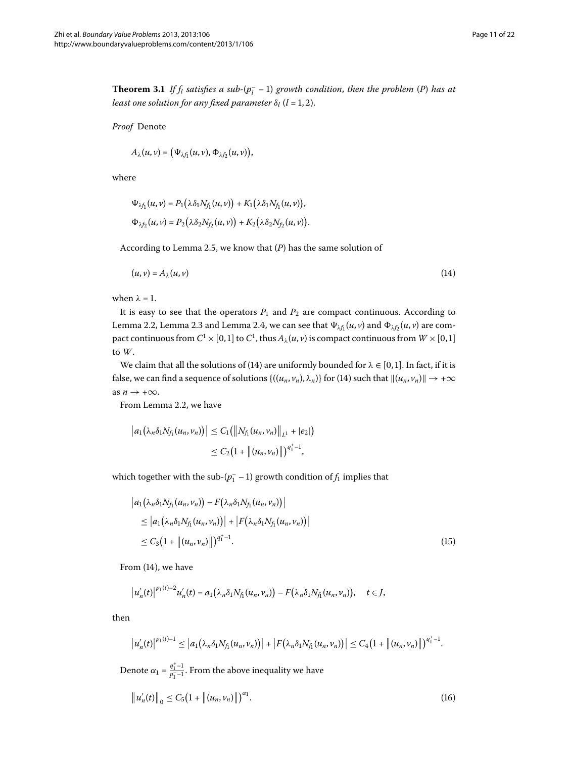<span id="page-10-3"></span>**Theorem 3.1** If  $f_l$  satisfies a sub- $(p_l^- - 1)$  growth condition, then the problem  $(P)$  has at *least one solution for any fixed parameter*  $\delta_l$  (*l* = 1, 2).

*Proof* Denote

$$
A_{\lambda}(u,v)=\big(\Psi_{\lambda f_1}(u,v),\Phi_{\lambda f_2}(u,v)\big),
$$

where

<span id="page-10-0"></span>
$$
\Psi_{\lambda f_1}(u,v) = P_1(\lambda \delta_1 N_{f_1}(u,v)) + K_1(\lambda \delta_1 N_{f_1}(u,v)),
$$
  

$$
\Phi_{\lambda f_2}(u,v) = P_2(\lambda \delta_2 N_{f_2}(u,v)) + K_2(\lambda \delta_2 N_{f_2}(u,v)).
$$

According to Lemma 2[.](#page-7-0)5, we know that  $(P)$  has the same solution of

$$
(u, v) = A_{\lambda}(u, v) \tag{14}
$$

when  $\lambda = 1$ .

It is easy to see that the operators  $P_1$  and  $P_2$  are compact continuous. According to Lemma 2[.](#page-4-2)2, Lemma 2.3 and Lemma 2.4, we can see that  $\Psi_{\lambda f_1}(u, v)$  and  $\Phi_{\lambda f_2}(u, v)$  are compact continuous from  $C^1 \times [0, 1]$  to  $C^1$ , thus  $A_\lambda(u, v)$  is compact continuous from  $W \times [0, 1]$ to *W*.

We claim that all the solutions of (14) are uniformly bounded for  $\lambda \in [0, 1]$ . In fact, if it is false, we can find a sequence of solutions  $\{((u_n, v_n), \lambda_n)\}\$  $\{((u_n, v_n), \lambda_n)\}\$  $\{((u_n, v_n), \lambda_n)\}\$  for (14) such that  $\|(u_n, v_n)\| \to +\infty$ as  $n \to +\infty$ .

<span id="page-10-1"></span>From Lemma 2[.](#page-3-3)2, we have

$$
|a_1(\lambda_n \delta_1 N_{f_1}(u_n, v_n))| \leq C_1 (||N_{f_1}(u_n, v_n)||_{L^1} + |e_2|)
$$
  
 
$$
\leq C_2 (1 + ||(u_n, v_n)||)^{q_1^+ - 1},
$$

which together with the sub- $(p_1^- - 1)$  growth condition of  $f_1$  implies that

$$
\begin{aligned} \left| a_1(\lambda_n \delta_1 N_{f_1}(u_n, v_n)) - F(\lambda_n \delta_1 N_{f_1}(u_n, v_n)) \right| \\ &\leq \left| a_1(\lambda_n \delta_1 N_{f_1}(u_n, v_n)) \right| + \left| F(\lambda_n \delta_1 N_{f_1}(u_n, v_n)) \right| \\ &\leq C_3 \big( 1 + \left\| (u_n, v_n) \right\| \big)^{q_1^+ - 1} . \end{aligned} \tag{15}
$$

From  $(14)$ , we have

$$
|u'_n(t)|^{p_1(t)-2}u'_n(t) = a_1(\lambda_n \delta_1 N_{f_1}(u_n, v_n)) - F(\lambda_n \delta_1 N_{f_1}(u_n, v_n)), \quad t \in J,
$$

then

<span id="page-10-2"></span>
$$
|u'_n(t)|^{p_1(t)-1}\leq |a_1(\lambda_n\delta_1N_{f_1}(u_n,v_n))|+|F(\lambda_n\delta_1N_{f_1}(u_n,v_n))|\leq C_4(1+\|(u_n,v_n)\|)^{q_1^+ -1}.
$$

Denote  $\alpha_1 = \frac{q_1^+ - 1}{p_1^- - 1}$ . From the above inequality we have

$$
\|u'_n(t)\|_0 \le C_5 \big(1 + \|(u_n, v_n)\|\big)^{\alpha_1}.
$$
 (16)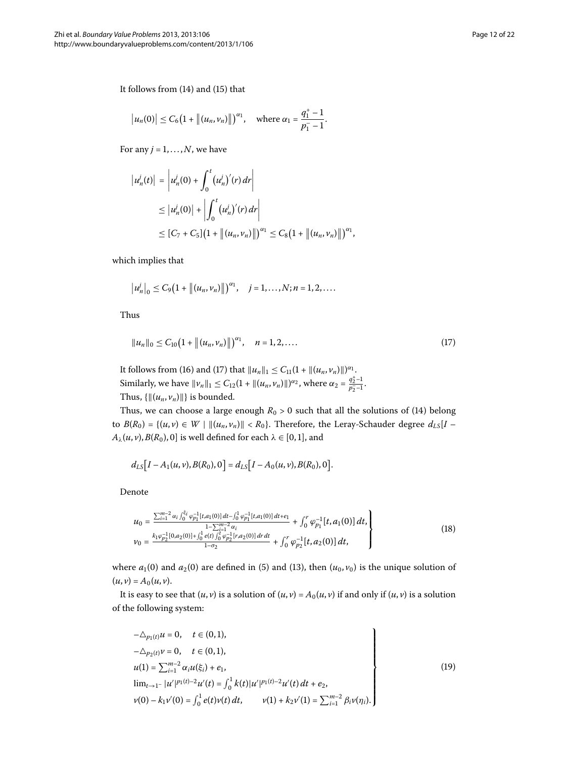It follows from  $(14)$  $(14)$  and  $(15)$  $(15)$  that

$$
|u_n(0)| \leq C_6 \big(1 + \|(u_n, v_n)\|\big)^{\alpha_1}
$$
, where  $\alpha_1 = \frac{q_1^+ - 1}{p_1^- - 1}$ .

For any  $j = 1, \ldots, N$ , we have

$$
\begin{aligned} \left| u_n'(t) \right| &= \left| u_n'(0) + \int_0^t \left( u_n'(r) \, dr \right) \right| \\ &\leq \left| u_n'(0) \right| + \left| \int_0^t \left( u_n'(r) \, dr \right) \right| \\ &\leq \left[ C_7 + C_5 \right] \left( 1 + \left\| (u_n, v_n) \right\| \right)^{\alpha_1} \leq C_8 \left( 1 + \left\| (u_n, v_n) \right\| \right)^{\alpha_1}, \end{aligned}
$$

which implies that

<span id="page-11-0"></span>
$$
|u_n|_0 \leq C_9 (1 + ||(u_n, v_n)||)^{\alpha_1}, \quad j = 1, ..., N; n = 1, 2, ...
$$

Thus

$$
||u_n||_0 \leq C_{10} \big(1 + ||(u_n, v_n)||\big)^{\alpha_1}, \quad n = 1, 2, .... \tag{17}
$$

It follows from (16) and (17) that  $||u_n||_1 \le C_{11}(1 + ||(u_n, v_n)||)^{\alpha_1}$ . Similarly, we have  $||v_n||_1 \le C_{12}(1 + ||(u_n, v_n)||)^{\alpha_2}$ , where  $\alpha_2 = \frac{q_2^+ - 1}{p_2^- - 1}$ . Thus,  $\{ \| (u_n, v_n) \| \}$  is bounded.

Thus, we can choose a large enough  $R_0 > 0$  such that all the solutions of [\(](#page-10-0)14) belong to  $B(R_0) = \{(u, v) \in W \mid ||(u_n, v_n)|| < R_0\}$ . Therefore, the Leray-Schauder degree  $d_{LS}[I A_{\lambda}(u, v), B(R_0), 0]$  is well defined for each  $\lambda \in [0, 1]$ , and

<span id="page-11-2"></span>
$$
d_{LS}[I - A_1(u, v), B(R_0), 0] = d_{LS}[I - A_0(u, v), B(R_0), 0].
$$

Denote

$$
u_0 = \frac{\sum_{i=1}^{m-2} \alpha_i \int_0^{\xi_i} \varphi_{p_1}^{-1}[t, a_1(0)] dt - \int_0^1 \varphi_{p_1}^{-1}[t, a_1(0)] dt + e_1}{1 - \sum_{i=1}^{m-2} \alpha_i} + \int_0^r \varphi_{p_1}^{-1}[t, a_1(0)] dt,
$$
  
\n
$$
v_0 = \frac{k_1 \varphi_{p_2}^{-1}[0, a_2(0)] + \int_0^1 e(t) \int_0^t \varphi_{p_2}^{-1}[r, a_2(0)] dt dt}{1 - \sigma_2} + \int_0^r \varphi_{p_2}^{-1}[t, a_2(0)] dt,
$$
\n(18)

where  $a_1(0)$  $a_1(0)$  and  $a_2(0)$  $a_2(0)$  $a_2(0)$  are defined in (5) and (13), then  $(u_0, v_0)$  is the unique solution of  $(u, v) = A_0(u, v).$ 

It is easy to see that  $(u, v)$  is a solution of  $(u, v) = A_0(u, v)$  if and only if  $(u, v)$  is a solution of the following system:

<span id="page-11-1"></span>
$$
-\Delta_{p_1(t)} u = 0, \quad t \in (0, 1),
$$
  
\n
$$
-\Delta_{p_2(t)} v = 0, \quad t \in (0, 1),
$$
  
\n
$$
u(1) = \sum_{i=1}^{m-2} \alpha_i u(\xi_i) + e_1,
$$
  
\n
$$
\lim_{t \to 1^-} |u'|^{p_1(t)-2} u'(t) = \int_0^1 k(t) |u'|^{p_1(t)-2} u'(t) dt + e_2,
$$
  
\n
$$
v(0) - k_1 v'(0) = \int_0^1 e(t) v(t) dt, \qquad v(1) + k_2 v'(1) = \sum_{i=1}^{m-2} \beta_i v(\eta_i).
$$
\n(19)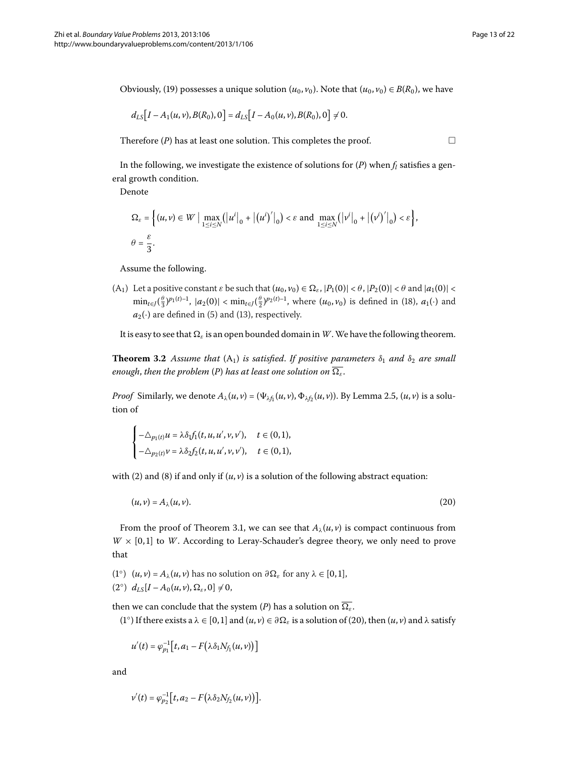Obviously, [\(](#page-11-1)19) possesses a unique solution  $(u_0, v_0)$ . Note that  $(u_0, v_0) \in B(R_0)$ , we have

$$
d_{LS}[I - A_1(u, v), B(R_0), 0] = d_{LS}[I - A_0(u, v), B(R_0), 0] \neq 0.
$$

Therefore (*P*) has at least one solution. This completes the proof.

 $\Box$ 

In the following, we investigate the existence of solutions for  $(P)$  when  $f_l$  satisfies a general growth condition.

Denote

$$
\Omega_{\varepsilon} = \left\{ (u, v) \in W \mid \max_{1 \le i \le N} (|u^i|_0 + |(u^i)'|_0) < \varepsilon \text{ and } \max_{1 \le i \le N} (|v^i|_0 + |(v^i)'|_0) < \varepsilon \right\},
$$
\n
$$
\theta = \frac{\varepsilon}{3}.
$$

<span id="page-12-1"></span>Assume the following.

(A<sub>1</sub>) Let a positive constant  $\varepsilon$  be such that  $(u_0, v_0) \in \Omega_{\varepsilon}$ ,  $|P_1(0)| < \theta$ ,  $|P_2(0)| < \theta$  and  $|a_1(0)| < \theta$  $\min_{t \in J} (\frac{\theta}{3})^{p_1(t)-1}$ ,  $|a_2(0)| < \min_{t \in J} (\frac{\theta}{2})^{p_2(t)-1}$ , where  $(u_0, v_0)$  is defined in (18),  $a_1(\cdot)$  and  $a_2(\cdot)$  $a_2(\cdot)$  are defined in (5) and (13), respectively.

It is easy to see that  $\Omega_{\varepsilon}$  is an open bounded domain in *W*. We have the following theorem.

**Theorem 3.2** Assume that  $(A_1)$  is satisfied. If positive parameters  $\delta_1$  and  $\delta_2$  are small *enough, then the problem* (*P*) *has at least one solution on*  $\overline{\Omega_{\varepsilon}}$ .

*Proof* Similarly, we denote  $A_\lambda(u, v) = (\Psi_{\lambda f_1}(u, v), \Phi_{\lambda f_2}(u, v))$ [.](#page-7-0) By Lemma 2.5,  $(u, v)$  is a solution of

<span id="page-12-0"></span>
$$
\label{eq:2.1} \begin{cases} -\triangle_{p_1(t)} u = \lambda \delta_1 f_1(t,u,u',v,v'), \quad t\in (0,1),\\ -\triangle_{p_2(t)} v = \lambda \delta_2 f_2(t,u,u',v,v'), \quad t\in (0,1), \end{cases}
$$

with [\(](#page-3-2)2) and (8) if and only if  $(u, v)$  is a solution of the following abstract equation:

$$
(u, v) = A_{\lambda}(u, v). \tag{20}
$$

From the proof of Theorem 3[.](#page-10-3)1, we can see that  $A_\lambda(u, v)$  is compact continuous from  $W \times [0,1]$  to *W*. According to Leray-Schauder's degree theory, we only need to prove that

(1°)  $(u, v) = A_\lambda(u, v)$  has no solution on  $\partial \Omega_\varepsilon$  for any  $\lambda \in [0, 1]$ ,  $(2^{\circ})$   $d_{LS}[I - A_0(u, v), \Omega_{\varepsilon}, 0] \neq 0,$ 

then we can conclude that the system (*P*) has a solution on  $\overline{\Omega_{\varepsilon}}$ .

(1°) If there exists a  $\lambda \in [0,1]$  and  $(u, v) \in \partial \Omega_{\varepsilon}$  is a solution of (20), then  $(u, v)$  and  $\lambda$  satisfy

$$
u'(t)=\varphi_{p_1}^{-1}\big[t,a_1-F\big(\lambda\delta_1N_{f_1}(u,v)\big)\big]
$$

and

$$
v'(t) = \varphi_{p_2}^{-1} \big[ t, a_2 - F(\lambda \delta_2 N_{f_2}(u, v)) \big].
$$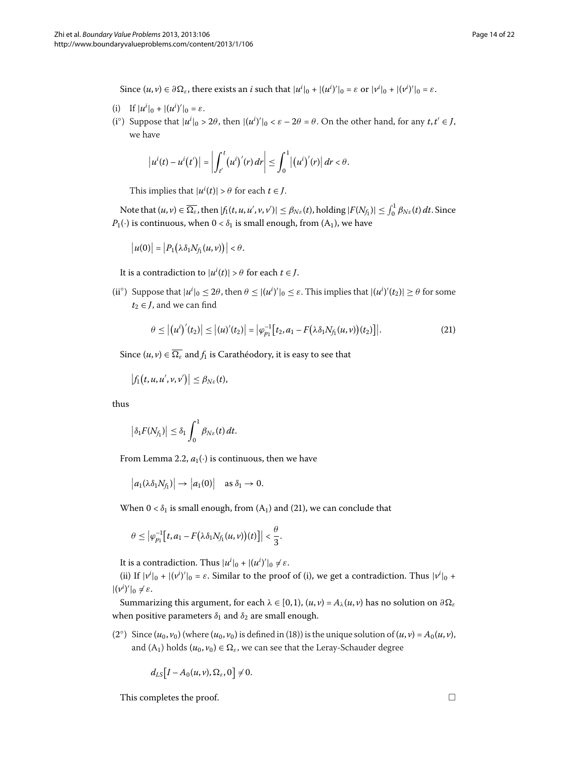Since  $(u, v) \in \partial \Omega_{\varepsilon}$ , there exists an *i* such that  $|u^i|_0 + |(u^i)'|_0 = \varepsilon$  or  $|v^i|_0 + |(v^i)'|_0 = \varepsilon$ .

- (i) If  $|u^i|_0 + |(u^i)'|_0 = \varepsilon$ .
- (i<sup>o</sup>) Suppose that  $|u^i|_0 > 2\theta$ , then  $|(u^i)'|_0 < \varepsilon 2\theta = \theta$ . On the other hand, for any  $t, t' \in J$ , we have

$$
\left|u^{i}(t)-u^{i}(t')\right|=\left|\int_{t'}^{t}\left(u^{i}\right)'(r)\,dr\right|\leq\int_{0}^{1}\left|\left(u^{i}\right)'(r)\right|dr<\theta.
$$

This implies that  $|u^i(t)| > \theta$  for each  $t \in J$ .

Note that  $(u, v) \in \overline{\Omega_{\varepsilon}}$ , then  $|f_1(t, u, u', v, v')| \leq \beta_{N\varepsilon}(t)$ , holding  $|F(N_{f_1})| \leq \int_0^1 \beta_{N\varepsilon}(t) dt$ . Since  $P_1(\cdot)$  is continuous, when  $0 < \delta_1$  is small enough, from  $(A_1)$ , we have

$$
|u(0)|=|P_1(\lambda \delta_1 N_{f_1}(u,v))|<\theta.
$$

It is a contradiction to  $|u^{i}(t)| > \theta$  for each  $t \in J$ .

(ii<sup>o</sup>) Suppose that  $|u^i|_0 \leq 2\theta$ , then  $\theta \leq |(u^i)'|_0 \leq \varepsilon$ . This implies that  $|(u^i)'(t_2)| \geq \theta$  for some  $t_2 \in J$ , and we can find

<span id="page-13-0"></span>
$$
\theta \leq |(u^{i})'(t_{2})| \leq |(u)'(t_{2})| = |\varphi_{p_{1}}^{-1}[t_{2}, a_{1} - F(\lambda \delta_{1} N_{f_{1}}(u, v))(t_{2})]|.
$$
\n(21)

Since  $(u, v) \in \overline{\Omega_{\varepsilon}}$  and  $f_1$  is Carathéodory, it is easy to see that

$$
\big|f_1(t,u,u',v,v')\big|\leq \beta_{N\varepsilon}(t),
$$

thus

$$
\left|\delta_1 F(N_{f_1})\right| \leq \delta_1 \int_0^1 \beta_{N\varepsilon}(t) dt.
$$

From Lemma 2[.](#page-3-3)2,  $a_1(\cdot)$  is continuous, then we have

$$
\big|a_1(\lambda \delta_1 N_{f_1})\big| \to \big|a_1(0)\big| \quad \text{as } \delta_1 \to 0.
$$

When  $0 < \delta_1$  is small enough, from  $(A_1)$  $(A_1)$  and  $(21)$ , we can conclude that

$$
\theta\leq \left|\varphi_{p_1}^{-1}\big[t,a_1-F\big(\lambda\delta_1N_{f_1}(u,v)\big)(t)\big]\right|<\frac{\theta}{3}.
$$

It is a contradiction. Thus  $|u^i|_0 + |(u^i)'|_0 \neq \varepsilon$ .

(ii) If  $|v^i|_0 + |(v^i)'|_0 = \varepsilon$ . Similar to the proof of (i), we get a contradiction. Thus  $|v^i|_0 +$  $|(\nu^i)'|_0 \neq \varepsilon.$ 

Summarizing this argument, for each  $\lambda \in [0, 1)$ ,  $(u, v) = A_{\lambda}(u, v)$  has no solution on  $\partial \Omega$ when positive parameters  $\delta_1$  and  $\delta_2$  are small enough.

[\(](#page-11-2)2°) Since  $(u_0, v_0)$  (where  $(u_0, v_0)$  is defined in (18)) is the unique solution of  $(u, v) = A_0(u, v)$ , and  $(A_1)$  holds  $(u_0, v_0) \in \Omega_\varepsilon$ , we can see that the Leray-Schauder degree

 $d_{LS} [I - A_0(u, v), \Omega_{\varepsilon}, 0] \neq 0.$ 

This completes the proof.  $\Box$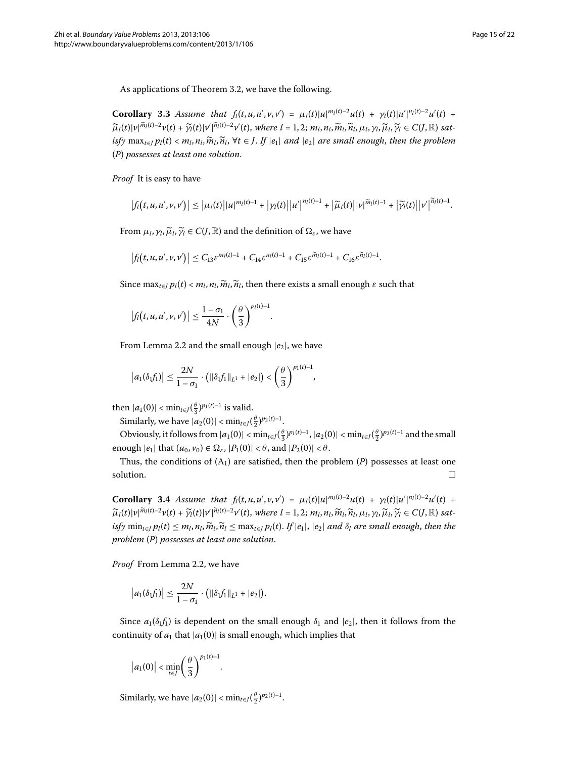As applications of Theorem 3.2, we have the following.

**Corollary 3.3** Assume that  $f_l(t, u, u', v, v') = \mu_l(t) |u|^{m_l(t)-2} u(t) + \gamma_l(t) |u'|^{n_l(t)-2} u'(t)$  $\widetilde{\mu}_l(t)|v|^{\widetilde{m}_l(t)-2}v(t)+\widetilde{\gamma}_l(t)|v'|^{\widetilde{n}_l(t)-2}v'(t),$  where  $l=1,2; m_l, n_l, \widetilde{m}_l, \widetilde{n}_l, \mu_l, \gamma_l, \widetilde{\mu}_l, \widetilde{\gamma}_l \in C(J,\mathbb{R})$  sat $i$ *sfy* max<sub>*t∈I*</sub>  $p_l(t) < m_l$ ,  $m_l$ ,  $\widetilde{n}_l$ ,  $\forall t \in J$ . If  $|e_1|$  and  $|e_2|$  are small enough, then the problem (*P*) *possesses at least one solution*.

*Proof* It is easy to have

$$
\left|f_l(t, u, u', v, v')\right| \leq \left|\mu_l(t)\right| |u|^{m_l(t)-1} + \left|\gamma_l(t)\right| |u'|^{n_l(t)-1} + \left|\widetilde{\mu}_l(t)\right| |v|^{\widetilde{m}_l(t)-1} + \left|\widetilde{\gamma}_l(t)\right| |v'|^{\widetilde{n}_l(t)-1}.
$$

From  $\mu_l$ ,  $\gamma_l$ ,  $\widetilde{\mu}_l$ ,  $\widetilde{\gamma}_l \in C(J, \mathbb{R})$  and the definition of  $\Omega_{\varepsilon}$ , we have

$$
\left|f_l\big(t,u,u',v,v'\big)\right|\leq C_{13}\varepsilon^{m_l(t)-1}+C_{14}\varepsilon^{n_l(t)-1}+C_{15}\varepsilon^{\widetilde{m}_l(t)-1}+C_{16}\varepsilon^{\widetilde{n}_l(t)-1}.
$$

Since  $\max_{t \in I} p_l(t) < m_l, n_l, \widetilde{n}_l, \widetilde{n}_l$ , then there exists a small enough  $\varepsilon$  such that

$$
\left|f_l\big(t,u,u',v,v'\big)\right| \leq \frac{1-\sigma_1}{4N} \cdot \left(\frac{\theta}{3}\right)^{p_l(t)-1}.
$$

From Lemma 2[.](#page-3-3)2 and the small enough  $|e_2|$ , we have

$$
\left|a_1(\delta_1 f_1)\right| \leq \frac{2N}{1-\sigma_1} \cdot \left(\|\delta_1 f_1\|_{L^1} + |e_2|\right) < \left(\frac{\theta}{3}\right)^{p_1(t)-1},
$$

then  $|a_1(0)| < \min_{t \in J} (\frac{\theta}{3})^{p_1(t)-1}$  is valid.

Similarly, we have  $|a_2(0)| < \min_{t \in J} (\frac{\theta}{2})^{p_2(t)-1}$ .

Obviously, it follows from  $|a_1(0)| < \min_{t \in J} (\frac{\theta}{3})^{p_1(t)-1}$ ,  $|a_2(0)| < \min_{t \in J} (\frac{\theta}{2})^{p_2(t)-1}$  and the small enough  $|e_1|$  that  $(u_0, v_0) \in \Omega_{\varepsilon}$ ,  $|P_1(0)| < \theta$ , and  $|P_2(0)| < \theta$ .

Thus, the conditions of  $(A_1)$  are satisfied, then the problem  $(P)$  possesses at least one  $\Box$  solution.

**Corollary 3.4** Assume that  $f_l(t, u, u', v, v') = \mu_l(t) |u|^{m_l(t)-2} u(t) + \gamma_l(t) |u'|^{n_l(t)-2} u'(t)$  $\widetilde{\mu}_l(t)|v|^{\widetilde{m}_l(t)-2}v(t)+\widetilde{\gamma}_l(t)|v'|^{\widetilde{n}_l(t)-2}v'(t),$  where  $l=1,2; m_l,n_l,\widetilde{m}_l,\widetilde{n}_l,\mu_l,\gamma_l,\widetilde{\mu}_l,\widetilde{\gamma}_l\in C(J,\mathbb{R})$  satisfy  $\min_{t \in I} p_l(t) \leq m_l, n_l, \widetilde{m}_l, \widetilde{n}_l \leq \max_{t \in I} p_l(t)$ . If  $|e_1|, |e_2|$  and  $\delta_l$  are small enough, then the *problem* (*P*) *possesses at least one solution*.

Proof From Lemma 2.2, we have

$$
|a_1(\delta_1 f_1)| \leq \frac{2N}{1-\sigma_1} \cdot (||\delta_1 f_1||_{L^1} + |e_2|).
$$

Since  $a_1(\delta_1 f_1)$  is dependent on the small enough  $\delta_1$  and  $|e_2|$ , then it follows from the continuity of  $a_1$  that  $|a_1(0)|$  is small enough, which implies that

$$
\left|a_1(0)\right| < \min_{t \in J} \left(\frac{\theta}{3}\right)^{p_1(t)-1}
$$

Similarly, we have  $|a_2(0)| < \min_{t \in J} (\frac{\theta}{2})^{p_2(t)-1}$ .

.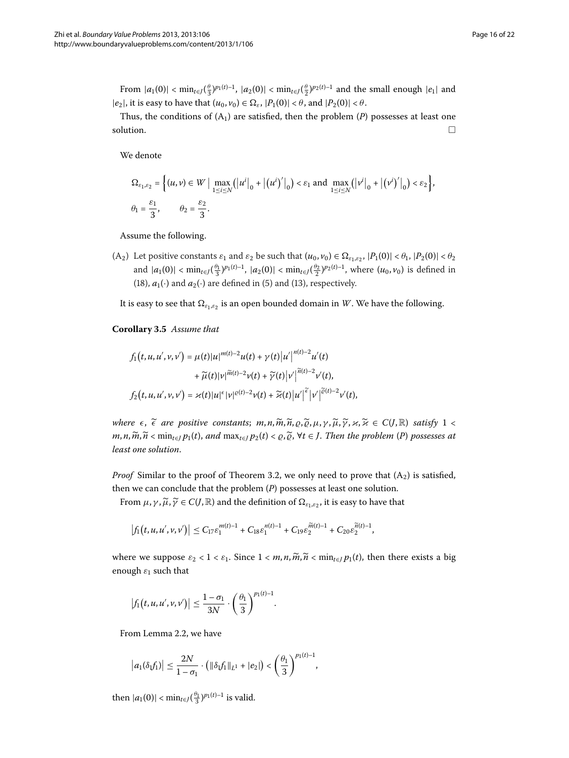From  $|a_1(0)| < \min_{t \in J} (\frac{\theta}{3})^{p_1(t)-1}$ ,  $|a_2(0)| < \min_{t \in J} (\frac{\theta}{2})^{p_2(t)-1}$  and the small enough  $|e_1|$  and  $|e_2|$ , it is easy to have that  $(u_0, v_0) \in \Omega_{\varepsilon}$ ,  $|P_1(0)| < \theta$ , and  $|P_2(0)| < \theta$ .

Thus, the conditions of  $(A_1)$  are satisfied, then the problem  $(P)$  possesses at least one  $\Box$  solution.  $\Box$ 

We denote

$$
\Omega_{\varepsilon_1,\varepsilon_2} = \left\{ (u,v) \in W \mid \max_{1 \le i \le N} (|u^i|_0 + |(u^i)'|_0) < \varepsilon_1 \text{ and } \max_{1 \le i \le N} (|v^i|_0 + |(v^i)'|_0) < \varepsilon_2 \right\},
$$
\n
$$
\theta_1 = \frac{\varepsilon_1}{3}, \qquad \theta_2 = \frac{\varepsilon_2}{3}.
$$

Assume the following.

<span id="page-15-0"></span>(A<sub>2</sub>) Let positive constants  $\varepsilon_1$  and  $\varepsilon_2$  be such that  $(u_0, v_0) \in \Omega_{\varepsilon_1, \varepsilon_2}$ ,  $|P_1(0)| < \theta_1$ ,  $|P_2(0)| < \theta_2$ and  $|a_1(0)| < \min_{t \in J}(\frac{\theta_1}{3})^{p_1(t)-1}$ ,  $|a_2(0)| < \min_{t \in J}(\frac{\theta_2}{2})^{p_2(t)-1}$ , where  $(u_0, v_0)$  is defined in [\(](#page-6-1)18),  $a_1(\cdot)$  and  $a_2(\cdot)$  are defined in (5) and (13), respectively.

It is easy to see that  $\Omega_{\varepsilon_1,\varepsilon_2}$  is an open bounded domain in *W*. We have the following.

**Corollary .** *Assume that*

$$
f_1(t, u, u', v, v') = \mu(t)|u|^{m(t)-2}u(t) + \gamma(t)|u'|^{n(t)-2}u'(t) + \widetilde{\mu}(t)|v|^{\widetilde{m}(t)-2}v(t) + \widetilde{\gamma}(t)|v'|^{\widetilde{n}(t)-2}v'(t),
$$
  

$$
f_2(t, u, u', v, v') = \varkappa(t)|u|^{\epsilon}|v|^{\varrho(t)-2}v(t) + \widetilde{\varkappa}(t)|u'|^{\widetilde{\epsilon}}|v'|^{\widetilde{\varrho}(t)-2}v'(t),
$$

*where*  $\epsilon$ ,  $\tilde{\epsilon}$  *are positive constants*;  $m, n, \tilde{m}, \tilde{n}, \varrho, \tilde{\varrho}, \mu, \gamma, \tilde{\mu}, \tilde{\gamma}, \varkappa, \tilde{\varkappa} \in C(J, \mathbb{R})$  *satisfy*  $1 <$  $m, n, \widetilde{m}, \widetilde{n} < \min_{t \in I} p_1(t)$ , and  $\max_{t \in I} p_2(t) < \varrho, \widetilde{\varrho}, \forall t \in J$ . Then the problem (*P*) possesses at *least one solution*.

*Proof* Similar to the proof of Theorem 3.2, we only need to prove that  $(A_2)$  is satisfied, then we can conclude that the problem (*P*) possesses at least one solution.

From  $\mu$ ,  $\gamma$ ,  $\widetilde{\mu}$ ,  $\widetilde{\gamma} \in C(J, \mathbb{R})$  and the definition of  $\Omega_{\varepsilon_1,\varepsilon_2}$ , it is easy to have that

$$
\left|f_1(t,u,u',\nu,\nu')\right| \leq C_{17}\varepsilon_1^{m(t)-1} + C_{18}\varepsilon_1^{n(t)-1} + C_{19}\varepsilon_2^{\widetilde{m}(t)-1} + C_{20}\varepsilon_2^{\widetilde{n}(t)-1},
$$

where we suppose  $\varepsilon_2 < 1 < \varepsilon_1$ . Since  $1 < m, n, \widetilde{m}, \widetilde{n} < \min_{t \in I} p_1(t)$ , then there exists a big enough  $\varepsilon_1$  such that

$$
\left|f_1(t,u,u',v,v')\right| \leq \frac{1-\sigma_1}{3N} \cdot \left(\frac{\theta_1}{3}\right)^{p_1(t)-1}.
$$

From Lemma 2[.](#page-3-3)2, we have

$$
\left|a_1(\delta_1 f_1)\right| \leq \frac{2N}{1-\sigma_1} \cdot \left( \|\delta_1 f_1\|_{L^1} + |e_2| \right) < \left(\frac{\theta_1}{3}\right)^{p_1(t)-1},
$$

then  $|a_1(0)| < \min_{t \in J} (\frac{\theta_1}{3})^{p_1(t)-1}$  is valid.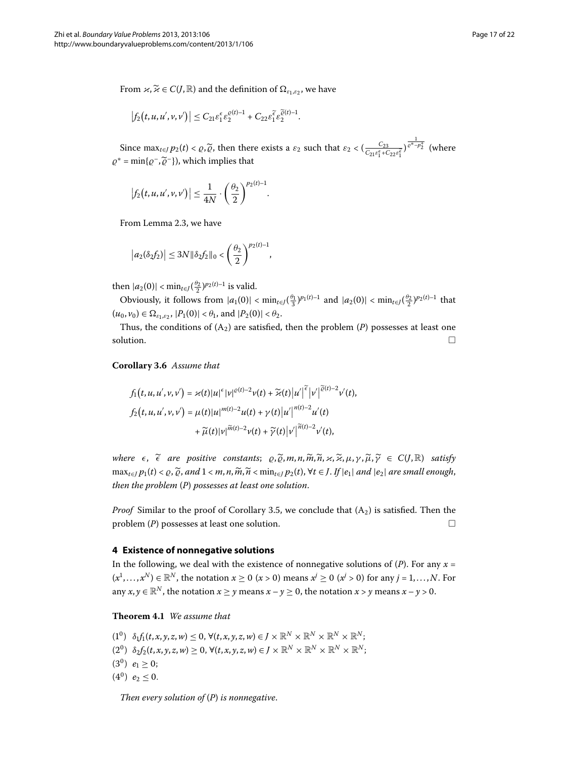From  $\kappa, \widetilde{\kappa} \in C(J, \mathbb{R})$  and the definition of  $\Omega_{\varepsilon_1, \varepsilon_2}$ , we have

$$
\left|f_2\big(t,u,u',v,v'\big)\right|\leq C_{21}\varepsilon_1^\varepsilon\varepsilon_2^{ \varrho(t)-1}+C_{22}\varepsilon_1^{\widetilde\varepsilon}\varepsilon_2^{\widetilde\varrho(t)-1}.
$$

Since  $\max_{t \in J} p_2(t) < \varrho, \widetilde{\varrho}$ , then there exists a  $\varepsilon_2$  such that  $\varepsilon_2 < \left(\frac{C_{23}}{C_{21}\varepsilon_1^{\epsilon_1} + C_{22}\varepsilon_1^{\epsilon_2}}\right)^{\frac{1}{\varrho^* - p_2^+}}$  (where  $\rho^* = \min\{\rho^-, \tilde{\rho}^-\}\)$ , which implies that

$$
\left|f_2(t,u,u',v,v')\right| \leq \frac{1}{4N} \cdot \left(\frac{\theta_2}{2}\right)^{p_2(t)-1}.
$$

From Lemma 2[.](#page-4-2)3, we have

$$
|a_2(\delta_2 f_2)| \le 3N \|\delta_2 f_2\|_0 < \left(\frac{\theta_2}{2}\right)^{p_2(t)-1},
$$

then  $|a_2(0)| < \min_{t \in J} (\frac{\theta_2}{2})^{p_2(t)-1}$  is valid.

Obviously, it follows from  $|a_1(0)| < \min_{t \in J} (\frac{\theta_1}{3})^{p_1(t)-1}$  and  $|a_2(0)| < \min_{t \in J} (\frac{\theta_2}{2})^{p_2(t)-1}$  that  $(u_0, v_0) \in \Omega_{\varepsilon_1, \varepsilon_2}$ ,  $|P_1(0)| < \theta_1$ , and  $|P_2(0)| < \theta_2$ .

Thus, the conditions of  $(A_2)$  are satisfied, then the problem  $(P)$  possesses at least one  $\Box$  solution.  $\Box$ 

**Corollary .** *Assume that*

$$
f_1(t, u, u', v, v') = \varkappa(t) |u|^{\epsilon} |v|^{\epsilon(t)-2} v(t) + \widetilde{\varkappa}(t) |u'|^{\widetilde{\epsilon}} |v'|^{\widetilde{\epsilon}(t)-2} v'(t),
$$
  

$$
f_2(t, u, u', v, v') = \mu(t) |u|^{m(t)-2} u(t) + \gamma(t) |u'|^{n(t)-2} u'(t) + \widetilde{\mu}(t) |v|^{\widetilde{n}(t)-2} v(t) + \widetilde{\gamma}(t) |v'|^{\widetilde{n}(t)-2} v'(t),
$$

<span id="page-16-0"></span>*where*  $\epsilon$ ,  $\tilde{\epsilon}$  *are positive constants*;  $\varrho$ ,  $\tilde{\varrho}$ ,  $m$ ,  $n$ ,  $\tilde{m}$ ,  $\tilde{n}$ ,  $\varkappa$ ,  $\tilde{\mu}$ ,  $\tilde{\mu}$ ,  $\tilde{\psi}$   $\tilde{\psi}$   $\in C(J, \mathbb{R})$  *satisfy*  $\max_{t\in I} p_1(t) < \varrho, \widetilde{\varrho},$  and  $1 < m, n, \widetilde{m}, \widetilde{n} < \min_{t\in I} p_2(t), \forall t \in J$ . If  $|e_1|$  and  $|e_2|$  are small enough, *then the problem* (*P*) *possesses at least one solution*.

*Proof* Similar to the proof of Corollary 3[.](#page-15-0)5, we conclude that  $(A_2)$  is satisfied. Then the problem (*P*) possesses at least one solution.  $\Box$ 

#### <span id="page-16-1"></span>**4 Existence of nonnegative solutions**

In the following, we deal with the existence of nonnegative solutions of  $(P)$ . For any  $x =$  $(x^1, \ldots, x^N) \in \mathbb{R}^N$ , the notation  $x \ge 0$   $(x > 0)$  means  $x^j \ge 0$   $(x^j > 0)$  for any  $j = 1, \ldots, N$ . For any  $x, y \in \mathbb{R}^N$ , the notation  $x \ge y$  means  $x - y \ge 0$ , the notation  $x > y$  means  $x - y > 0$ .

**Theorem 4.1** We assume that

- $(1^0)$   $\delta_1 f_1(t, x, y, z, w) \leq 0$ ,  $\forall (t, x, y, z, w) \in J \times \mathbb{R}^N \times \mathbb{R}^N \times \mathbb{R}^N \times \mathbb{R}^N;$
- $(2^0)$   $\delta_2 f_2(t, x, y, z, w) \geq 0$ ,  $\forall (t, x, y, z, w) \in J \times \mathbb{R}^N \times \mathbb{R}^N \times \mathbb{R}^N \times \mathbb{R}^N$ ;
- $(3^0)$   $e_1 \geq 0$ ;
- $(4^0)$   $e_2 \leq 0$ .

*Then every solution of* (*P*) *is nonnegative*.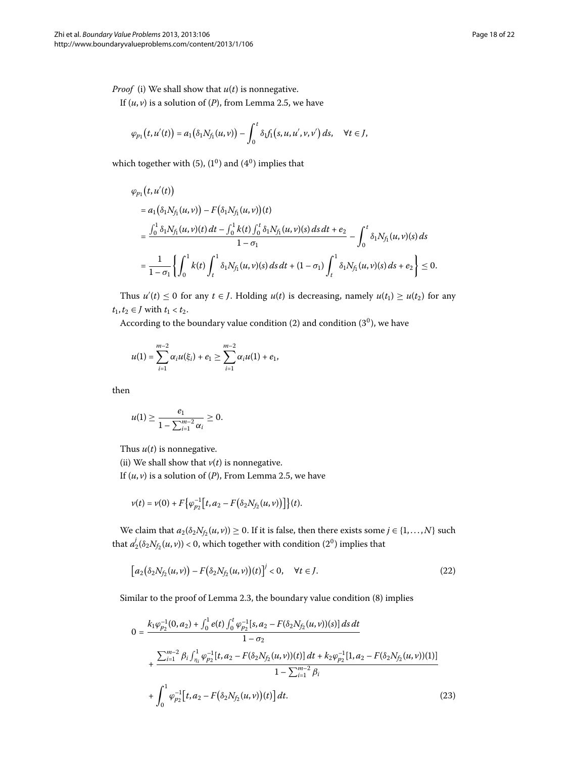*Proof* (i) We shall show that  $u(t)$  is nonnegative.

If  $(u, v)$  is a solution of  $(P)$ , from Lemma 2[.](#page-7-0)5, we have

$$
\varphi_{p_1}(t, u'(t)) = a_1(\delta_1 N_{f_1}(u, v)) - \int_0^t \delta_1 f_1(s, u, u', v, v') ds, \quad \forall t \in J,
$$

which together with  $(5)$  $(5)$ ,  $(1^0)$  and  $(4^0)$  implies that

$$
\varphi_{p_1}(t, u'(t))
$$
\n
$$
= a_1(\delta_1 N_{f_1}(u, v)) - F(\delta_1 N_{f_1}(u, v))(t)
$$
\n
$$
= \frac{\int_0^1 \delta_1 N_{f_1}(u, v)(t) dt - \int_0^1 k(t) \int_0^t \delta_1 N_{f_1}(u, v)(s) ds dt + e_2}{1 - \sigma_1} - \int_0^t \delta_1 N_{f_1}(u, v)(s) ds
$$
\n
$$
= \frac{1}{1 - \sigma_1} \left\{ \int_0^1 k(t) \int_t^1 \delta_1 N_{f_1}(u, v)(s) ds dt + (1 - \sigma_1) \int_t^1 \delta_1 N_{f_1}(u, v)(s) ds + e_2 \right\} \leq 0.
$$

Thus  $u'(t) \leq 0$  for any  $t \in J$ . Holding  $u(t)$  is decreasing, namely  $u(t_1) \geq u(t_2)$  for any *t*<sub>1</sub>*, t*<sub>2</sub> ∈ *J* with *t*<sub>1</sub> < *t*<sub>2</sub>*.* 

According to the boundary value condition  $(2)$  $(2)$  and condition  $(3<sup>0</sup>)$ , we have

$$
u(1) = \sum_{i=1}^{m-2} \alpha_i u(\xi_i) + e_1 \ge \sum_{i=1}^{m-2} \alpha_i u(1) + e_1,
$$

then

$$
u(1) \geq \frac{e_1}{1 - \sum_{i=1}^{m-2} \alpha_i} \geq 0.
$$

Thus  $u(t)$  is nonnegative.

(ii) We shall show that  $v(t)$  is nonnegative.

If  $(u, v)$  is a solution of  $(P)$ , From Lemma 2[.](#page-7-0)5, we have

<span id="page-17-0"></span>
$$
v(t) = v(0) + F\big\{\varphi_{p_2}^{-1}\big[t, a_2 - F(\delta_2 N_{f_2}(u, v))\big]\big\}(t).
$$

<span id="page-17-1"></span>We claim that  $a_2(\delta_2 N_{f_2}(u, v)) \ge 0$ . If it is false, then there exists some  $j \in \{1, ..., N\}$  such that  $a_2^j(\delta_2 N_{\mathit{f}_2}(u,v))$  < 0, which together with condition (2<sup>0</sup>) implies that

$$
[a_2(\delta_2 N_{f_2}(u,v)) - F(\delta_2 N_{f_2}(u,v))(t)]^j < 0, \quad \forall t \in J.
$$
 (22)

Similar to the proof of Lemma 2[.](#page-4-2)3, the boundary value condition  $(8)$  implies

$$
0 = \frac{k_1 \varphi_{p_2}^{-1}(0, a_2) + \int_0^1 e(t) \int_0^t \varphi_{p_2}^{-1}[s, a_2 - F(\delta_2 N_{f_2}(u, v))(s)] ds dt}{1 - \sigma_2} + \frac{\sum_{i=1}^{m-2} \beta_i \int_{\eta_i}^1 \varphi_{p_2}^{-1}[t, a_2 - F(\delta_2 N_{f_2}(u, v))(t)] dt + k_2 \varphi_{p_2}^{-1}[1, a_2 - F(\delta_2 N_{f_2}(u, v))(1)]}{1 - \sum_{i=1}^{m-2} \beta_i} + \int_0^1 \varphi_{p_2}^{-1}[t, a_2 - F(\delta_2 N_{f_2}(u, v))(t)] dt.
$$
\n(23)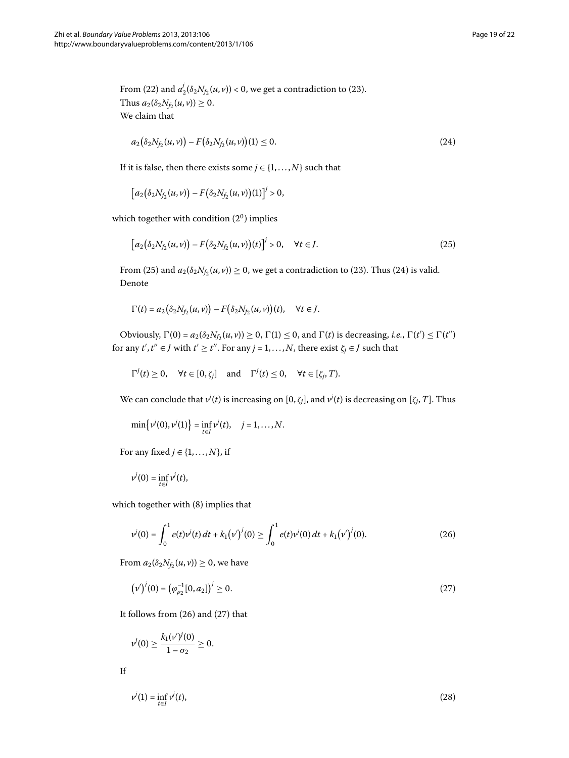<span id="page-18-1"></span>From [\(](#page-17-1)22) and  $a_2^j(\delta_2 N_{f_2}(u,v)) < 0$ , we get a contradiction to (23). Thus  $a_2(\delta_2 N_{f_2}(u, v)) \geq 0$ . We claim that

<span id="page-18-0"></span>
$$
a_2(\delta_2 N_{f_2}(u,v)) - F(\delta_2 N_{f_2}(u,v))(1) \le 0.
$$
\n(24)

If it is false, then there exists some  $j \in \{1, \ldots, N\}$  such that

$$
[a_2(\delta_2 N_{f_2}(u,v)) - F(\delta_2 N_{f_2}(u,v))(1)]^j > 0,
$$

which together with condition  $(2^0)$  implies

$$
[a_2(\delta_2 N_{f_2}(u,v)) - F(\delta_2 N_{f_2}(u,v))(t)]^j > 0, \quad \forall t \in J.
$$
 (25)

From [\(](#page-17-1)25) and  $a_2(\delta_2 N_{f_2}(u, v)) \ge 0$ , we get a contradiction to (23). Thus (24) is valid. Denote

$$
\Gamma(t) = a_2(\delta_2 N_{f_2}(u,v)) - F(\delta_2 N_{f_2}(u,v))(t), \quad \forall t \in J.
$$

Obviously,  $\Gamma(0) = a_2(\delta_2 N_{f_2}(u, v)) \ge 0$ ,  $\Gamma(1) \le 0$ , and  $\Gamma(t)$  is decreasing, *i.e.*,  $\Gamma(t') \le \Gamma(t'')$ for any  $t', t'' \in J$  with  $t' \geq t''$ . For any  $j = 1, ..., N$ , there exist  $\zeta_j \in J$  such that

 $\Gamma^{j}(t) \geq 0$ ,  $\forall t \in [0, \zeta_{j}]$  and  $\Gamma^{j}(t) \leq 0$ ,  $\forall t \in [\zeta_{j}, T)$ .

We can conclude that  $v^j(t)$  is increasing on  $[0,\zeta_j]$ , and  $v^j(t)$  is decreasing on  $[\zeta_j,T]$ . Thus

<span id="page-18-2"></span>
$$
\min\{\nu^j(0),\nu^j(1)\}=\inf_{t\in I}\nu^j(t), \quad j=1,\ldots,N.
$$

For any fixed  $j \in \{1, \ldots, N\}$ , if

$$
v^j(0) = \inf_{t \in I} v^j(t),
$$

which together with  $(8)$  $(8)$  implies that

<span id="page-18-3"></span>
$$
v^{j}(0) = \int_{0}^{1} e(t)v^{j}(t) dt + k_{1}(v')^{j}(0) \ge \int_{0}^{1} e(t)v^{j}(0) dt + k_{1}(v')^{j}(0).
$$
 (26)

From  $a_2(\delta_2 N_{f_2}(u, v)) \geq 0$ , we have

<span id="page-18-4"></span>
$$
(\nu')^{i}(0) = (\varphi_{p_2}^{-1}[0, a_2])^{i} \ge 0.
$$
\n(27)

It follows from  $(26)$  and  $(27)$  that

 $v^j(0) \geq \frac{k_1(v')^j(0)}{1-\sigma_0}$  $\frac{1-\sigma_2}{1-\sigma_2}\geq 0.$ 

$$
\mathbf{If}
$$

$$
v^{j}(1) = \inf_{t \in I} v^{j}(t),
$$
\n(28)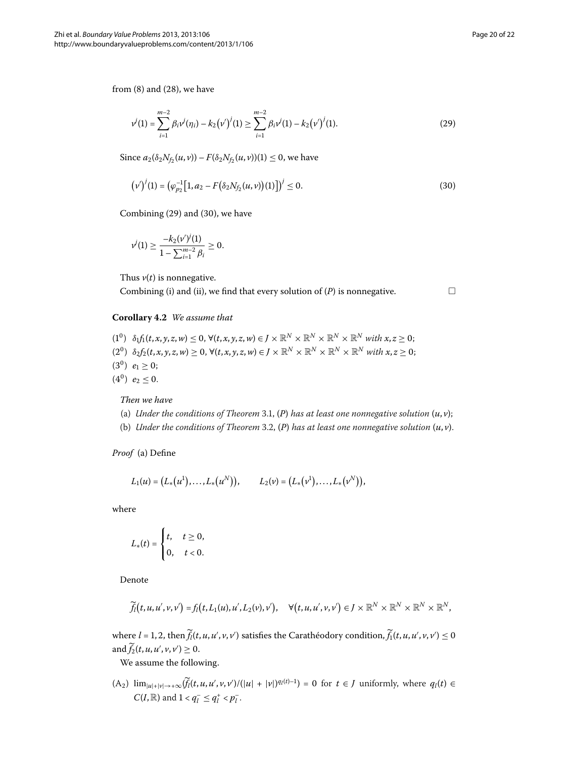from  $(8)$  $(8)$  and  $(28)$ , we have

$$
\nu^{j}(1) = \sum_{i=1}^{m-2} \beta_{i} \nu^{j}(\eta_{i}) - k_{2} (\nu^{\prime})^{j}(1) \ge \sum_{i=1}^{m-2} \beta_{i} \nu^{j}(1) - k_{2} (\nu^{\prime})^{j}(1).
$$
\n(29)

Since  $a_2(\delta_2 N_{f_2}(u, v)) - F(\delta_2 N_{f_2}(u, v))(1) \le 0$ , we have

$$
(\nu')^{j}(1) = (\varphi_{p_2}^{-1}[1, a_2 - F(\delta_2 N_{f_2}(u, v))(1)])^{j} \leq 0.
$$
\n(30)

<span id="page-19-2"></span>Combining  $(29)$  and  $(30)$ , we have

$$
\nu^j(1) \geq \frac{-k_2(\nu')^j(1)}{1 - \sum_{i=1}^{m-2} \beta_i} \geq 0.
$$

Thus  $v(t)$  is nonnegative.

Combining (i) and (ii), we find that every solution of  $(P)$  is nonnegative.

<span id="page-19-1"></span><span id="page-19-0"></span>

## **Corollary .** *We assume that*

 $(1^0)$   $\delta_1 f_1(t, x, y, z, w) \leq 0$ ,  $\forall (t, x, y, z, w) \in J \times \mathbb{R}^N \times \mathbb{R}^N \times \mathbb{R}^N \times \mathbb{R}^N$  with  $x, z \geq 0$ ;  $(2^0)$   $\delta_2 f_2(t, x, y, z, w) \geq 0$ ,  $\forall (t, x, y, z, w) \in J \times \mathbb{R}^N \times \mathbb{R}^N \times \mathbb{R}^N \times \mathbb{R}^N$  with  $x, z \geq 0$ ;  $(3^0)$   $e_1 \geq 0;$  $(4^0)$   $e_2 \leq 0$ .

*Then we have*

- (a) *Under the conditions of Theorem* 3[.](#page-10-3)1, (*P*) *has at least one nonnegative solution*  $(u, v)$ ;
- (b) *Under the conditions of Theorem* 3[.](#page-12-1)2, (P) has at least one nonnegative solution  $(u, v)$ .

*Proof* (a) Define

$$
L_1(u) = (L_*(u^1), \ldots, L_*(u^N)), \qquad L_2(v) = (L_*(v^1), \ldots, L_*(v^N)),
$$

where

$$
L_*(t) = \begin{cases} t, & t \geq 0, \\ 0, & t < 0. \end{cases}
$$

Denote

$$
\widetilde{f}_l(t,u,u',v,v') = f_l(t,L_1(u),u',L_2(v),v'), \quad \forall (t,u,u',v,v') \in J \times \mathbb{R}^N \times \mathbb{R}^N \times \mathbb{R}^N \times \mathbb{R}^N,
$$

where  $l = 1, 2$ , then  $f_l(t, u, u', v, v')$  satisfies the Carathéodory condition,  $f_1(t, u, u', v, v') \leq 0$  $\text{and } f_2(t, u, u', v, v') \geq 0.$ 

We assume the following.

 $(A_2)$   $\lim_{|u|+|v| \to +\infty}$   $\left(\frac{f_l(t, u, u', v, v')}{\sqrt{(|u| + |v|)^{q_l(t)-1}}}\right) = 0$  for  $t \in J$  uniformly, where  $q_l(t) \in$  $C(I, \mathbb{R})$  and  $1 < q_l^- \leq q_l^+ < p_l^-$ .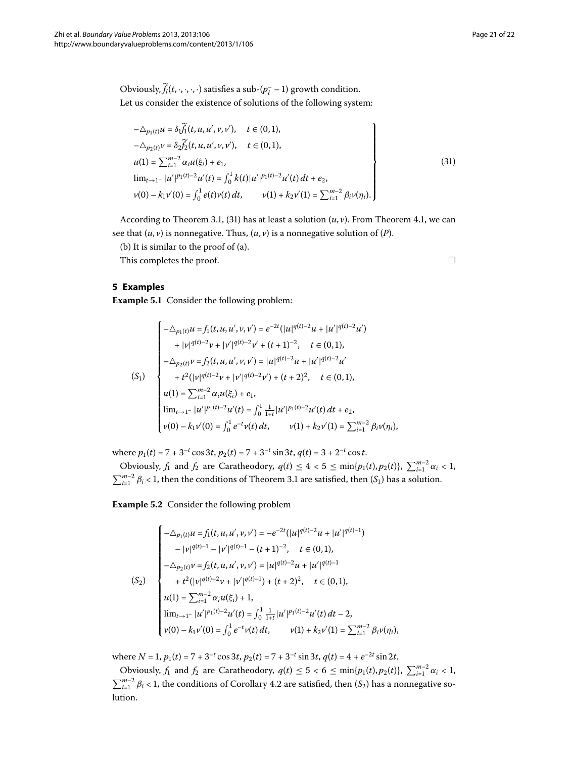Obviously,  $f_l(t, \cdot, \cdot, \cdot, \cdot)$  satisfies a sub- $(p_l^- - 1)$  growth condition. Let us consider the existence of solutions of the following system:

$$
-\Delta_{p_1(t)} u = \delta_1 \widetilde{f}_1(t, u, u', v, v'), \quad t \in (0, 1),
$$
  
\n
$$
-\Delta_{p_2(t)} v = \delta_2 \widetilde{f}_2(t, u, u', v, v'), \quad t \in (0, 1),
$$
  
\n
$$
u(1) = \sum_{i=1}^{m-2} \alpha_i u(\xi_i) + e_1,
$$
  
\n
$$
\lim_{t \to 1^-} |u'|^{p_1(t)-2} u'(t) = \int_0^1 k(t) |u'|^{p_1(t)-2} u'(t) dt + e_2,
$$
  
\n
$$
v(0) - k_1 v'(0) = \int_0^1 e(t) v(t) dt, \qquad v(1) + k_2 v'(1) = \sum_{i=1}^{m-2} \beta_i v(\eta_i).
$$
\n(31)

According to Theorem 3[.](#page-10-3)1, [\(](#page-20-0)31) has at least a solution  $(u, v)$ . From Theorem 4.1, we can see that  $(u, v)$  is nonnegative. Thus,  $(u, v)$  is a nonnegative solution of  $(P)$ .

(b) It is similar to the proof of (a).

This completes the proof.  $\Box$ 

## **5 Examples**

**Example 5.1** Consider the following problem:

$$
\begin{cases}\n-\triangle_{p_1(t)} u = f_1(t, u, u', v, v') = e^{-2t} (|u|^{q(t)-2} u + |u'|^{q(t)-2} u') \\
+ |v|^{q(t)-2} v + |v'|^{q(t)-2} v' + (t+1)^{-2}, \quad t \in (0,1), \\
-\triangle_{p_2(t)} v = f_2(t, u, u', v, v') = |u|^{q(t)-2} u + |u'|^{q(t)-2} u' \\
+ t^2 (|v|^{q(t)-2} v + |v'|^{q(t)-2} v') + (t+2)^2, \quad t \in (0,1), \\
u(1) = \sum_{i=1}^{m-2} \alpha_i u(\xi_i) + e_1, \\
\lim_{t \to 1^-} |u'|^{p_1(t)-2} u'(t) = \int_0^1 \frac{1}{1+t} |u'|^{p_1(t)-2} u'(t) dt + e_2, \\
v(0) - k_1 v'(0) = \int_0^1 e^{-t} v(t) dt, \qquad v(1) + k_2 v'(1) = \sum_{i=1}^{m-2} \beta_i v(\eta_i),\n\end{cases}
$$

where  $p_1(t) = 7 + 3^{-t} \cos 3t$ ,  $p_2(t) = 7 + 3^{-t} \sin 3t$ ,  $q(t) = 3 + 2^{-t} \cos t$ .

Obviously,  $f_1$  and  $f_2$  are Caratheodory,  $q(t) \leq 4 < 5 \leq \min\{p_1(t), p_2(t)\}, \sum_{i=1}^{m-2} \alpha_i < 1$ ,  $\sum_{i=1}^{m-2} \beta_i$  < 1, then the conditions of Theorem 3[.](#page-10-3)1 are satisfied, then  $(S_1)$  has a solution.

**Example 5.2** Consider the following problem

$$
\begin{cases}\n-\triangle_{p_1(t)} u = f_1(t, u, u', v, v') = -e^{-2t} (|u|^{q(t)-2} u + |u'|^{q(t)-1}) \\
-|v|^{q(t)-1} - |v'|^{q(t)-1} - (t+1)^{-2}, \quad t \in (0,1), \\
-\triangle_{p_2(t)} v = f_2(t, u, u', v, v') = |u|^{q(t)-2} u + |u'|^{q(t)-1} \\
+ t^2 (|v|^{q(t)-2} v + |v'|^{q(t)-1}) + (t+2)^2, \quad t \in (0,1), \\
u(1) = \sum_{i=1}^{m-2} \alpha_i u(\xi_i) + 1, \\
\lim_{t \to 1^-} |u'|^{p_1(t)-2} u'(t) = \int_0^1 \frac{1}{1+t} |u'|^{p_1(t)-2} u'(t) dt - 2, \\
v(0) - k_1 v'(0) = \int_0^1 e^{-t} v(t) dt, \qquad v(1) + k_2 v'(1) = \sum_{i=1}^{m-2} \beta_i v(\eta_i),\n\end{cases}
$$

where  $N = 1$ ,  $p_1(t) = 7 + 3^{-t} \cos 3t$ ,  $p_2(t) = 7 + 3^{-t} \sin 3t$ ,  $q(t) = 4 + e^{-2t} \sin 2t$ .

Obviously,  $f_1$  and  $f_2$  are Caratheodory,  $q(t) \le 5 < 6 \le \min\{p_1(t), p_2(t)\}, \sum_{i=1}^{m-2} \alpha_i < 1$ ,  $\sum_{i=1}^{m-2} \beta_i$  < 1, the conditions of Corollary 4[.](#page-19-2)2 are satisfied, then  $(S_2)$  has a nonnegative solution.

<span id="page-20-0"></span>